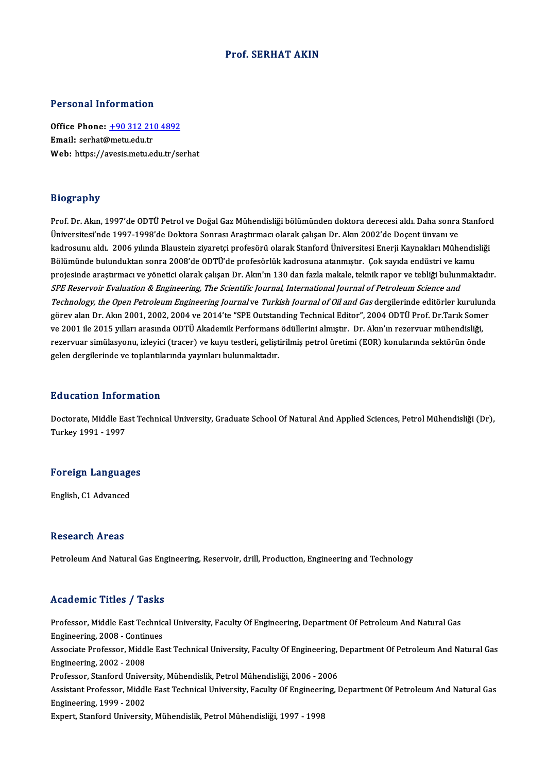### Prof. SERHAT AKIN

### Personal Information

Personal Information<br>Office Phone: <u>+90 312 210 4892</u><br>Email: serbet@metuedutr office Phone: <u>+90 312 21</u><br>Email: serhat@metu.edu.tr<br>Web: https://avosis.metu.edu Email: serhat@metu.edu.tr<br>Web: https://a[vesis.metu.edu.tr/se](tel:+90 312 210 4892)rhat

### Biography

Bi<mark>ography</mark><br>Prof. Dr. Akın, 1997'de ODTÜ Petrol ve Doğal Gaz Mühendisliği bölümünden doktora derecesi aldı. Daha sonra Stanford<br>Üniversitesi'nde 1997 1998'de Dektora Sonrası Arastırması olarak salısan Dr. Akın 2002'de Dose Üniversitesi'nde 1997-1998'de Doktora Sonrası Araştırmacı olarak çalışan Dr. Akın 2002'de Doçent ünvanı ve<br>kadrosunu aldı. 2006 yılında Blaustein ziyaretçi profesörü olarak Stanford Üniversitesi Enerji Kaynakları Mühendis Prof. Dr. Akın, 1997'de ODTÜ Petrol ve Doğal Gaz Mühendisliği bölümünden doktora derecesi aldı. Daha sonra Stanford<br>Üniversitesi'nde 1997-1998'de Doktora Sonrası Araştırmacı olarak çalışan Dr. Akın 2002'de Doçent ünvanı ve Üniversitesi'nde 1997-1998'de Doktora Sonrası Araştırmacı olarak çalışan Dr. Akın 2002'de Doçent ünvanı ve<br>kadrosunu aldı. 2006 yılında Blaustein ziyaretçi profesörü olarak Stanford Üniversitesi Enerji Kaynakları Mühendis kadrosunu aldı. 2006 yılında Blaustein ziyaretçi profesörü olarak Stanford Üniversitesi Enerji Kaynakları Mühendisliği<br>Bölümünde bulunduktan sonra 2008'de ODTÜ'de profesörlük kadrosuna atanmıştır. Çok sayıda endüstri ve SPE Reservoir Evaluation & Engineering, The Scientific Journal, International Journal of Petroleum Science and projesinde araştırmacı ve yönetici olarak çalışan Dr. Akın'ın 130 dan fazla makale, teknik rapor ve tebliği bulunmaktadır.<br>*SPE Reservoir Evaluation & Engineering, The Scientific Journal, International Journal of Petroleum SPE Reservoir Evaluation & Engineering, The Scientific Journal, International Journal of Petroleum Science and<br>Technology, the Open Petroleum Engineering Journal ve <i>Turkish Journal of Oil and Gas* dergilerinde editörler *Technology, the Open Petroleum Engineering Journal* ve *Turkish Journal of Oil and Gas* dergilerinde editörler kurulun görev alan Dr. Akın 2001, 2002, 2004 ve 2014'te "SPE Outstanding Technical Editor", 2004 ODTÜ Prof. Dr görev alan Dr. Akın 2001, 2002, 2004 ve 2014'te "SPE Outstanding Technical Editor", 2004 ODTÜ Prof. Dr.Tarık Somer<br>ve 2001 ile 2015 yılları arasında ODTÜ Akademik Performans ödüllerini almıştır. Dr. Akın'ın rezervuar mühe ve 2001 ile 2015 yılları arasında ODTÜ Akademik Performans ödüllerini almıştır. Dr. Akın'ın rezervuar mühendisliği,<br>rezervuar simülasyonu, izleyici (tracer) ve kuyu testleri, geliştirilmiş petrol üretimi (EOR) konularında

### Education Information

**Education Information**<br>Doctorate, Middle East Technical University, Graduate School Of Natural And Applied Sciences, Petrol Mühendisliği (Dr),<br>Turkey 1991, 1997 24 december 11109<br>Doctorate, Middle Ea<br>Turkey 1991 - 1997

# Turkey 1991 - 1997<br>Foreign Languages

English, C1 Advanced

### **Research Areas**

Petroleum And Natural Gas Engineering, Reservoir, drill, Production, Engineering and Technology

### Academic Titles / Tasks

Professor, Middle East Technical University, Faculty Of Engineering, Department Of Petroleum And Natural Gas Engineering,2008 -Continues Professor, Middle East Technical University, Faculty Of Engineering, Department Of Petroleum And Natural Gas<br>Engineering, 2008 - Continues<br>Associate Professor, Middle East Technical University, Faculty Of Engineering, Depa Engineering, 2008 - Contin<br>Associate Professor, Midd<br>Engineering, 2002 - 2008<br>Professor, Stanford Unive Associate Professor, Middle East Technical University, Faculty Of Engineering, <br>Engineering, 2002 - 2008<br>Professor, Stanford University, Mühendislik, Petrol Mühendisliği, 2006 - 2006<br>Assistant Professor, Middle Fost Techni Engineering, 2002 - 2008<br>Professor, Stanford University, Mühendislik, Petrol Mühendisliği, 2006 - 2006<br>Assistant Professor, Middle East Technical University, Faculty Of Engineering, Department Of Petroleum And Natural Gas<br> Professor, Stanford Univer<br>Assistant Professor, Middl<br>Engineering, 1999 - 2002<br>Eupert Stanford Universit Expert, Stanford University, Mühendislik, Petrol Mühendisliği, 1997 - 1998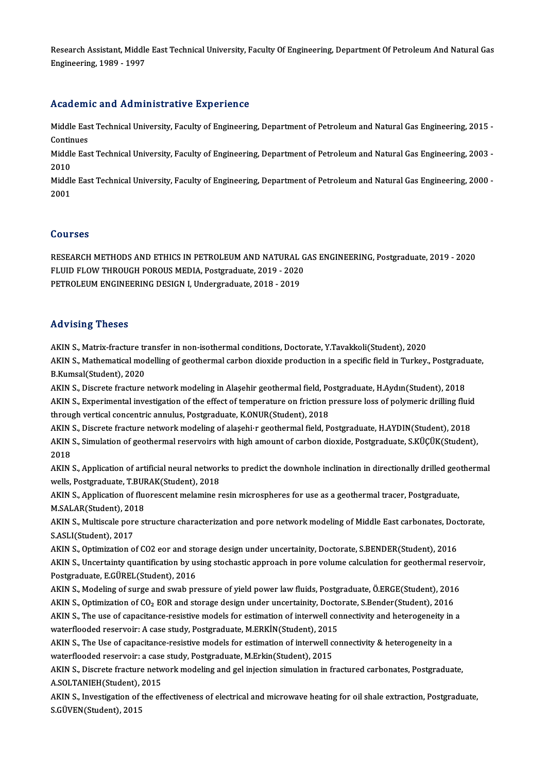Research Assistant, Middle East Technical University, Faculty Of Engineering, Department Of Petroleum And Natural Gas<br>Engineering, 1989, 1997 Research Assistant, Middle<br>Engineering, 1989 - 1997

# Engineering, 1989 - 1997<br>Academic and Administrative Experience

Academic and Administrative Experience<br>Middle East Technical University, Faculty of Engineering, Department of Petroleum and Natural Gas Engineering, 2015 -<br>Continues Middle Eas<br>Continues<br>Middle Eas Middle East Technical University, Faculty of Engineering, Department of Petroleum and Natural Gas Engineering, 2015 -<br>Continues<br>Middle East Technical University, Faculty of Engineering, Department of Petroleum and Natural

Conti<mark>r</mark><br>Middle<br>2010<br>Middl Middle East Technical University, Faculty of Engineering, Department of Petroleum and Natural Gas Engineering, 2003 -<br>2010<br>Middle East Technical University, Faculty of Engineering, Department of Petroleum and Natural Gas E

2010<br>Middle East Technical University, Faculty of Engineering, Department of Petroleum and Natural Gas Engineering, 2000 -<br>2001

### Courses

Courses<br>RESEARCH METHODS AND ETHICS IN PETROLEUM AND NATURAL GAS ENGINEERING, Postgraduate, 2019 - 2020<br>ELUID ELOW THROUCH POROUS MEDIA, Restgraduate, 2019, 2020 SOUTBOB<br>RESEARCH METHODS AND ETHICS IN PETROLEUM AND NATURAL G<br>FLUID FLOW THROUGH POROUS MEDIA, Postgraduate, 2019 - 2020<br>RETROLEUM ENCINEERING DESIGN LUndergraduate, 2018 - 2010 FLUID FLOW THROUGH POROUS MEDIA, Postgraduate, 2019 - 2020<br>PETROLEUM ENGINEERING DESIGN I, Undergraduate, 2018 - 2019

### Advising Theses

Advising Theses<br>AKIN S., Matrix-fracture transfer in non-isothermal conditions, Doctorate, Y.Tavakkoli(Student), 2020<br>AKIN S. Mathematical modelling of geothermal carbon dievide production in a specific field in Turkey. AKIN S., Matrix-fracture transfer in non-isothermal conditions, Doctorate, Y.Tavakkoli(Student), 2020<br>AKIN S., Mathematical modelling of geothermal carbon dioxide production in a specific field in Turkey., Postgraduate,<br>R. **AKIN S., Matrix-fracture tr<br>AKIN S., Mathematical moor<br>B.Kumsal(Student), 2020** AKIN S., Mathematical modelling of geothermal carbon dioxide production in a specific field in Turkey., Postgradu<br>B.Kumsal(Student), 2020<br>AKIN S., Discrete fracture network modeling in Alaşehir geothermal field, Postgradua

B.Kumsal(Student), 2020<br>AKIN S., Discrete fracture network modeling in Alaşehir geothermal field, Postgraduate, H.Aydın(Student), 2018<br>AKIN S., Experimental investigation of the effect of temperature on friction pressure l AKIN S., Discrete fracture network modeling in Alaşehir geothermal field, Postgraduate, H.Aydın(Student), 2018<br>AKIN S., Experimental investigation of the effect of temperature on friction pressure loss of polymeric drillin AKIN S., Experimental investigation of the effect of temperature on friction pressure loss of polymeric drilling fluid<br>through vertical concentric annulus, Postgraduate, K.ONUR(Student), 2018<br>AKIN S., Discrete fracture net

through vertical concentric annulus, Postgraduate, K.ONUR(Student), 2018<br>AKIN S., Discrete fracture network modeling of alaşehi•r geothermal field, Postgraduate, H.AYDIN(Student), 2018<br>AKIN S., Simulation of geothermal res AKIN<br>AKIN<br>2018<br>AKIN AKIN S., Simulation of geothermal reservoirs with high amount of carbon dioxide, Postgraduate, S.KÜÇÜK(Student),<br>2018<br>AKIN S., Application of artificial neural networks to predict the downhole inclination in directionally

2018<br>AKIN S., Application of artificial neural network<br>wells, Postgraduate, T.BURAK(Student), 2018<br>AKIN S. Application of fluorescent melamine r AKIN S., Application of artificial neural networks to predict the downhole inclination in directionally drilled geo<br>wells, Postgraduate, T.BURAK(Student), 2018<br>AKIN S., Application of fluorescent melamine resin microsphere

Wells, Postgraduate, T.BUR<br>AKIN S., Application of flu<br>M.SALAR(Student), 2018 AKIN S., Application of fluorescent melamine resin microspheres for use as a geothermal tracer, Postgraduate,<br>M.SALAR(Student), 2018<br>AKIN S., Multiscale pore structure characterization and pore network modeling of Middle E

M.SALAR(Student), 2018<br>AKIN S., Multiscale pore structure characterization and pore network modeling of Middle East carbonates, Doctorate,<br>S.ASLI(Student), 2017

AKIN S., Optimization of CO2 eor and storage design under uncertainity, Doctorate, S.BENDER(Student), 2016 S.ASLI(Student), 2017<br>AKIN S., Optimization of CO2 eor and storage design under uncertainity, Doctorate, S.BENDER(Student), 2016<br>AKIN S., Uncertainty quantification by using stochastic approach in pore volume calculation f Postgraduate, E.GÜREL(Student), 2016 AKIN S., Uncertainty quantification by using stochastic approach in pore volume calculation for geothermal rese<br>Postgraduate, E.GÜREL(Student), 2016<br>AKIN S., Modeling of surge and swab pressure of yield power law fluids, P

AKIN S., Modeling of surge and swab pressure of yield power law fluids, Postgraduate, Ö.ERGE(Student), 2016<br>AKIN S., Optimization of CO<sub>2</sub> EOR and storage design under uncertainity, Doctorate, S.Bender(Student), 2016 AKIN S., Modeling of surge and swab pressure of yield power law fluids, Postgraduate, Ö.ERGE(Student), 2016<br>AKIN S., Optimization of CO<sub>2</sub> EOR and storage design under uncertainity, Doctorate, S.Bender(Student), 2016<br>AKIN

AKIN S., Optimization of CO<sub>2</sub> EOR and storage design under uncertainity, Docto<br>AKIN S., The use of capacitance-resistive models for estimation of interwell convaterflooded reservoir: A case study, Postgraduate, M.ERKİN(S AKIN S., The use of capacitance-resistive models for estimation of interwell connectivity and heterogeneity in<br>waterflooded reservoir: A case study, Postgraduate, M.ERKİN(Student), 2015<br>AKIN S., The Use of capacitance-resi waterflooded reservoir: A case study, Postgraduate, M.ERKİN(Student), 2015<br>AKIN S., The Use of capacitance-resistive models for estimation of interwell connectivity & heterogeneity in a

waterflooded reservoir: a case study, Postgraduate, M.Erkin(Student), 2015

AKIN S., Discrete fracture network modeling and gel injection simulation in fractured carbonates, Postgraduate,<br>A.SOLTANIEH(Student), 2015 AKIN S., Discrete fracture network modeling and gel injection simulation in fractured carbonates, Postgraduate,<br>A.SOLTANIEH(Student), 2015<br>AKIN S., Investigation of the effectiveness of electrical and microwave heating for

A.SOLTANIEH(Student),<br>AKIN S., Investigation of<br>S.GÜVEN(Student), 2015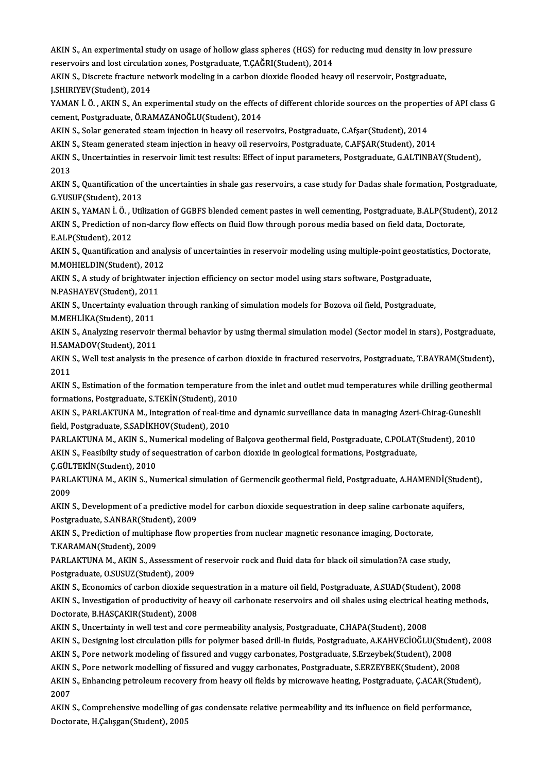AKIN S., An experimental study on usage of hollow glass spheres (HGS) for reducing mud density in low pressure<br>reserveirs and lest singulation zones. Pestspeduate, T.CAČPI(Student), 2014. **AKIN S., An experimental study on usage of hollow glass spheres (HGS) for r<br>reservoirs and lost circulation zones, Postgraduate, T.ÇAĞRI(Student), 2014<br>AKIN S. Disenste frasture potusul: modeling in a serbon diavide flood** AKIN S., An experimental study on usage of hollow glass spheres (HGS) for reducing mud density in low pr<br>reservoirs and lost circulation zones, Postgraduate, T.ÇAĞRI(Student), 2014<br>AKIN S., Discrete fracture network modeli

reservoirs and lost circulation zones, Postgraduate, T.ÇAĞRI(Student), 2014<br>AKIN S., Discrete fracture network modeling in a carbon dioxide flooded heavy oil reservoir, Postgraduate,<br>J.SHIRIYEV(Student), 2014 AKIN S., Discrete fracture network modeling in a carbon dioxide flooded heavy oil reservoir, Postgraduate,<br>J.SHIRIYEV(Student), 2014<br>YAMAN İ. Ö. , AKIN S., An experimental study on the effects of different chloride sources

J.SHIRIYEV(Student), 2014<br>YAMAN İ. Ö. , AKIN S., An experimental study on the effect<br>cement, Postgraduate, Ö.RAMAZANOĞLU(Student), 2014<br>AKIN S. Selar generated steam injection in beauv eil reset YAMAN İ. Ö. , AKIN S., An experimental study on the effects of different chloride sources on the proper<br>cement, Postgraduate, Ö.RAMAZANOĞLU(Student), 2014<br>AKIN S., Solar generated steam injection in heavy oil reservoirs, P

cement, Postgraduate, Ö.RAMAZANOĞLU(Student), 2014<br>AKIN S., Solar generated steam injection in heavy oil reservoirs, Postgraduate, C.Afşar(Student), 2014

AKIN S., Steam generated steam injection in heavy oil reservoirs, Postgraduate, C.AFSAR(Student), 2014

AKIN S., Uncertainties in reservoir limit test results: Effect of input parameters, Postgraduate, G.ALTINBAY(Student),<br>2013 AKIN S., Uncertainties in reservoir limit test results: Effect of input parameters, Postgraduate, G.ALTINBAY(Student),<br>2013<br>AKIN S., Quantification of the uncertainties in shale gas reservoirs, a case study for Dadas shale

2013<br>AKIN S., Quantification of<br>G.YUSUF(Student), 2013<br>AKIN S., XAMAN LÖ, Htil

G.YUSUF(Student), 2013<br>AKIN S., YAMAN İ. Ö. , Utilization of GGBFS blended cement pastes in well cementing, Postgraduate, B.ALP(Student), 2012 G.YUSUF(Student), 2013<br>AKIN S., YAMAN İ. Ö. , Utilization of GGBFS blended cement pastes in well cementing, Postgraduate, B.ALP(Studer<br>AKIN S., Prediction of non-darcy flow effects on fluid flow through porous media based AKIN S., YAMAN İ. Ö. , U<br>AKIN S., Prediction of 1<br>E.ALP(Student), 2012<br>AKIN S. Quantification AKIN S., Prediction of non-darcy flow effects on fluid flow through porous media based on field data, Doctorate,<br>E.ALP(Student), 2012<br>AKIN S., Quantification and analysis of uncertainties in reservoir modeling using multip

E.ALP(Student), 2012<br>AKIN S., Quantification and anal<br>M.MOHIELDIN(Student), 2012<br>AKIN S. A study of brishtyster AKIN S., Quantification and analysis of uncertainties in reservoir modeling using multiple-point geostation.<br>M.MOHIELDIN(Student), 2012<br>AKIN S., A study of brightwater injection efficiency on sector model using stars softw

M.MOHIELDIN(Student), 2012<br>AKIN S., A study of brightwater injection efficiency on sector model using stars software, Postgraduate,<br>N.PASHAYEV(Student), 2011

AKIN S., A study of brightwater injection efficiency on sector model using stars software, Postgraduate,<br>N.PASHAYEV(Student), 2011<br>AKIN S., Uncertainty evaluation through ranking of simulation models for Bozova oil field, N.PASHAYEV(Student), 2011<br>AKIN S., Uncertainty evaluation<br>M.MEHLİKA(Student), 2011<br>AKIN S. Analyging recerveir

M.MEHLİKA(Student), 2011<br>AKIN S., Analyzing reservoir thermal behavior by using thermal simulation model (Sector model in stars), Postgraduate, H.SAMADOV(Student),2011 AKIN S., Analyzing reservoir thermal behavior by using thermal simulation model (Sector model in stars), Postgraduate,<br>H.SAMADOV(Student), 2011<br>AKIN S., Well test analysis in the presence of carbon dioxide in fractured res

H.SAM<br>AKIN<br>2011<br>AKIN AKIN S., Well test analysis in the presence of carbon dioxide in fractured reservoirs, Postgraduate, T.BAYRAM(Student),<br>2011<br>AKIN S., Estimation of the formation temperature from the inlet and outlet mud temperatures while

2011<br>AKIN S., Estimation of the formation temperature fr<br>formations, Postgraduate, S.TEKİN(Student), 2010<br>AKIN S. BABLAKTIJNA M. Integration of real time s AKIN S., Estimation of the formation temperature from the inlet and outlet mud temperatures while drilling geothern<br>formations, Postgraduate, S.TEKİN(Student), 2010<br>AKIN S., PARLAKTUNA M., Integration of real-time and dyna

formations, Postgraduate, S.TEKİN(Student), 2010<br>AKIN S., PARLAKTUNA M., Integration of real-time<br>field, Postgraduate, S.SADİKHOV(Student), 2010 AKIN S., PARLAKTUNA M., Integration of real-time and dynamic surveillance data in managing Azeri-Chirag-Guneshli<br>field, Postgraduate, S.SADİKHOV(Student), 2010<br>PARLAKTUNA M., AKIN S., Numerical modeling of Balçova geotherm

PARLAKTUNA M., AKIN S., Numerical modeling of Balçova geothermal field, Postgraduate, C.POLAT(Student), 2010 PARLAKTUNA M., AKIN S., Nu<br>AKIN S., Feasibilty study of se<br>Ç.GÜLTEKİN(Student), 2010<br>PARLAKTUNA M. AKIN S. Nu

AKIN S., Feasibilty study of sequestration of carbon dioxide in geological formations, Postgraduate,<br>Ç.GÜLTEKİN(Student), 2010<br>PARLAKTUNA M., AKIN S., Numerical simulation of Germencik geothermal field, Postgraduate, A.HAM Ç.GÜL<br>PARL<br>2009<br>ARIM PARLAKTUNA M., AKIN S., Numerical simulation of Germencik geothermal field, Postgraduate, A.HAMENDİ(Stud<br>2009<br>AKIN S., Development of a predictive model for carbon dioxide sequestration in deep saline carbonate aquifers,<br>P

2009<br>AKIN S., Development of a predictive mo<br>Postgraduate, S.ANBAR(Student), 2009<br>AKIN S., Prediction of multiphese flow p AKIN S., Development of a predictive model for carbon dioxide sequestration in deep saline carbonate a<br>Postgraduate, S.ANBAR(Student), 2009<br>AKIN S., Prediction of multiphase flow properties from nuclear magnetic resonance

Postgraduate, S.ANBAR(Student), 2009<br>AKIN S., Prediction of multiphase flow properties from nuclear magnetic resonance imaging, Doctorate,<br>T.KARAMAN(Student), 2009 AKIN S., Prediction of multiphase flow properties from nuclear magnetic resonance imaging, Doctorate,<br>T.KARAMAN(Student), 2009<br>PARLAKTUNA M., AKIN S., Assessment of reservoir rock and fluid data for black oil simulation?A

T.KARAMAN(Student), 2009<br>PARLAKTUNA M., AKIN S., Assessment of<br>Postgraduate, O.SUSUZ(Student), 2009<br>AKIN S. Essnamiss of sarbon diaxide se PARLAKTUNA M., AKIN S., Assessment of reservoir rock and fluid data for black oil simulation?A case study,<br>Postgraduate, O.SUSUZ(Student), 2009<br>AKIN S., Economics of carbon dioxide sequestration in a mature oil field, Post

Postgraduate, O.SUSUZ(Student), 2009<br>AKIN S., Economics of carbon dioxide sequestration in a mature oil field, Postgraduate, A.SUAD(Student), 2008<br>AKIN S., Investigation of productivity of heavy oil carbonate reservoirs an AKIN S., Economics of carbon dioxide sequestration in a mature oil field, Postgraduate, A.SUAD(Student), 2008<br>AKIN S., Investigation of productivity of heavy oil carbonate reservoirs and oil shales using electrical heating AKIN S., Investigation of productivity of heavy oil carbonate reservoirs and oil shales using electrical h<br>Doctorate, B.HASÇAKIR(Student), 2008<br>AKIN S., Uncertainty in well test and core permeability analysis, Postgraduate Doctorate, B.HASÇAKIR(Student), 2008<br>AKIN S., Uncertainty in well test and core permeability analysis, Postgraduate, C.HAPA(Student), 2008<br>AKIN S., Designing lost circulation pills for polymer based drill-in fluids, Postgr

AKIN S., Uncertainty in well test and core permeability analysis, Postgraduate, C.HAPA(Student), 2008<br>AKIN S., Designing lost circulation pills for polymer based drill-in fluids, Postgraduate, A.KAHVEClOĞLU(Stude<br>AKIN S.,

AKIN S., Designing lost circulation pills for polymer based drill-in fluids, Postgraduate, A.KAHVECİOĞLU(Studen<br>AKIN S., Pore network modeling of fissured and vuggy carbonates, Postgraduate, S.Erzeybek(Student), 2008<br>AKIN

AKIN S., Pore network modeling of fissured and vuggy carbonates, Postgraduate, S.Erzeybek(Student), 2008<br>AKIN S., Pore network modelling of fissured and vuggy carbonates, Postgraduate, S.ERZEYBEK(Student), 2008<br>AKIN S., En AKIN<br>AKIN<br>2007<br>AKIN AKIN S., Enhancing petroleum recovery from heavy oil fields by microwave heating, Postgraduate, Ç.ACAR(Studen<br>2007<br>AKIN S., Comprehensive modelling of gas condensate relative permeability and its influence on field perform

2007<br>AKIN S., Comprehensive modelling of gas condensate relative permeability and its influence on field performance,<br>Doctorate, H.Çalışgan(Student), 2005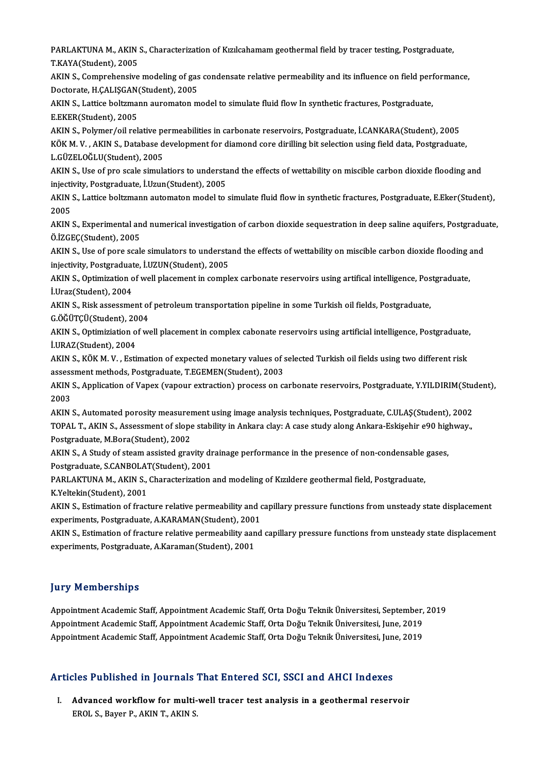PARLAKTUNA M., AKIN S., Characterization of Kızılcahamam geothermal field by tracer testing, Postgraduate,<br>T.KAYA(Student), 2005 PARLAKTUNA M., AKIN<br>T.KAYA(Student), 2005<br>AKIN S. Comprebensive PARLAKTUNA M., AKIN S., Characterization of Kızılcahamam geothermal field by tracer testing, Postgraduate,<br>T.KAYA(Student), 2005<br>AKIN S., Comprehensive modeling of gas condensate relative permeability and its influence on

T.KAYA(Student), 2005<br>AKIN S., Comprehensive modeling of gas<br>Doctorate, H.ÇALIŞGAN(Student), 2005<br>AKIN S. Lattise beltymann auvemeten m AKIN S., Comprehensive modeling of gas condensate relative permeability and its influence on field performance,<br>Doctorate, H.ÇALIŞGAN(Student), 2005<br>AKIN S., Lattice boltzmann auromaton model to simulate fluid flow In synt

Doctorate, H.ÇALIŞGAN<br>AKIN S., Lattice boltzma<br>E.EKER(Student), 2005<br>AKIN S. Polymor/oil rol AKIN S., Lattice boltzmann auromaton model to simulate fluid flow In synthetic fractures, Postgraduate,<br>E.EKER(Student), 2005<br>AKIN S., Polymer/oil relative permeabilities in carbonate reservoirs, Postgraduate, İ.CANKARA(St

E.EKER(Student), 2005<br>AKIN S., Polymer/oil relative permeabilities in carbonate reservoirs, Postgraduate, İ.CANKARA(Student), 2005<br>KÖK M. V. , AKIN S., Database development for diamond core dirilling bit selection using fi AKIN S., Polymer/oil relative pe<br>KÖK M. V. , AKIN S., Database d<br>L.GÜZELOĞLU(Student), 2005<br>AKIN S. Has of pro saala simula KÖK M. V. , AKIN S., Database development for diamond core dirilling bit selection using field data, Postgraduate,<br>L.GÜZELOĞLU(Student), 2005<br>AKIN S., Use of pro scale simulatiors to understand the effects of wettability o

L.GÜZELOĞLU(Student), 2005<br>AKIN S., Use of pro scale simulatiors to understa<br>injectivity, Postgraduate, İ.Uzun(Student), 2005<br>AKIN S. Lattice beltymann automaten model to a AKIN S., Use of pro scale simulatiors to understand the effects of wettability on miscible carbon dioxide flooding and<br>injectivity, Postgraduate, İ.Uzun(Student), 2005<br>AKIN S., Lattice boltzmann automaton model to simulate

injectivity, Postgraduate, İ.Uzun(Student), 2005<br>AKIN S., Lattice boltzmann automaton model to simulate fluid flow in synthetic fractures, Postgraduate, E.Eker(Student),<br>2005 AKIN S., Lattice boltzmann automaton model to simulate fluid flow in synthetic fractures, Postgraduate, E.Eker(Student),<br>2005<br>AKIN S., Experimental and numerical investigation of carbon dioxide sequestration in deep saline

2005<br>AKIN S., Experimental an<br>Ö.İZGEÇ(Student), 2005<br>AKIN S., Use of nere ssel AKIN S., Experimental and numerical investigation of carbon dioxide sequestration in deep saline aquifers, Postgradua<br>Ö.İZGEÇ(Student), 2005<br>AKIN S., Use of pore scale simulators to understand the effects of wettability on

Ö.İZGEÇ(Student), 2005<br>AKIN S., Use of pore scale simulators to understa<br>injectivity, Postgraduate, İ.UZUN(Student), 2005<br>AKIN S. Optimiration of unll plasement in semple AKIN S., Use of pore scale simulators to understand the effects of wettability on miscible carbon dioxide flooding a<br>injectivity, Postgraduate, İ.UZUN(Student), 2005<br>AKIN S., Optimization of well placement in complex carbo

injectivity, Postgraduate, İ.UZUN(Student), 2005<br>AKIN S., Optimization of well placement in complex carbonate reservoirs using artifical intelligence, Postgraduate,<br>İ.Uraz(Student), 2004 AKIN S., Optimization of well placement in complex carbonate reservoirs using artifical intelligence, Pos<br>İ.Uraz(Student), 2004<br>AKIN S., Risk assessment of petroleum transportation pipeline in some Turkish oil fields, Post İ.Uraz(Student), 2004<br>AKIN S., Risk assessment of<br>G.ÖĞÜTÇÜ(Student), 2004<br>AKIN S. Ontimiziation of W

G.ÖĞÜTÇÜ(Student), 2004<br>AKIN S., Optimiziation of well placement in complex cabonate reservoirs using artificial intelligence, Postgraduate, İ.URAZ(Student),2004 AKIN S., Optimiziation of well placement in complex cabonate reservoirs using artificial intelligence, Postgraduate,<br>1.URAZ(Student), 2004<br>AKIN S., KÖK M. V. , Estimation of expected monetary values of selected Turkish oil

**i.URAZ(Student), 2004<br>AKIN S., KÖK M. V. , Estimation of expected monetary values of s<br>assessment methods, Postgraduate, T.EGEMEN(Student), 2003** AKIN S., KÖK M. V. , Estimation of expected monetary values of selected Turkish oil fields using two different risk<br>assessment methods, Postgraduate, T.EGEMEN(Student), 2003<br>AKIN S., Application of Vapex (vapour extraction

assess<br>AKIN<br>2003<br>AKIN AKIN S., Application of Vapex (vapour extraction) process on carbonate reservoirs, Postgraduate, Y.YILDIRIM(Stud<br>2003<br>AKIN S., Automated porosity measurement using image analysis techniques, Postgraduate, C.ULAŞ(Student),

2003<br>AKIN S., Automated porosity measurement using image analysis techniques, Postgraduate, C.ULAŞ(Student), 2002<br>TOPAL T., AKIN S., Assessment of slope stability in Ankara clay: A case study along Ankara-Eskişehir e90 hig AKIN S., Automated porosity measurer<br>TOPAL T., AKIN S., Assessment of slope<br>Postgraduate, M.Bora(Student), 2002<br>AKIN S. A Study of steem assisted grey TOPAL T., AKIN S., Assessment of slope stability in Ankara clay: A case study along Ankara-Eskişehir e90 hig<br>Postgraduate, M.Bora(Student), 2002<br>AKIN S., A Study of steam assisted gravity drainage performance in the presen

Postgraduate, M.Bora(Student), 2002<br>AKIN S., A Study of steam assisted gravity dr<br>Postgraduate, S.CANBOLAT(Student), 2001<br>PARLAKTUNA M. AKIN S. Characterization AKIN S., A Study of steam assisted gravity drainage performance in the presence of non-condensable<br>Postgraduate, S.CANBOLAT(Student), 2001<br>PARLAKTUNA M., AKIN S., Characterization and modeling of Kızıldere geothermal field

Postgraduate, S.CANBOLAT(Student), 2001<br>PARLAKTUNA M., AKIN S., Characterization and modeling of Kızıldere geothermal field, Postgraduate,<br>K.Yeltekin(Student), 2001

PARLAKTUNA M., AKIN S., Characterization and modeling of Kızıldere geothermal field, Postgraduate,<br>K.Yeltekin(Student), 2001<br>AKIN S., Estimation of fracture relative permeability and capillary pressure functions from unste K.Yeltekin(Student), 2001<br>AKIN S., Estimation of fracture relative permeability and c<br>experiments, Postgraduate, A.KARAMAN(Student), 2001<br>AKIN S. Estimation of fracture relative permeability aand experiments, Postgraduate, A.KARAMAN(Student), 2001<br>AKIN S., Estimation of fracture relative permeability aand capillary pressure functions from unsteady state displacement

experiments, Postgraduate, A.Karaman(Student), 2001

## **Jury Memberships**

**Jury Memberships**<br>Appointment Academic Staff, Appointment Academic Staff, Orta Doğu Teknik Üniversitesi, September, 2019<br>Appointment Academic Staff, Appointment Academic Staff, Orta Doğu Teknik Üniversitesi, June, 2019 Jury Trommorumpu<br>Appointment Academic Staff, Appointment Academic Staff, Orta Doğu Teknik Üniversitesi, September,<br>Appointment Academic Staff, Appointment Academic Staff, Orta Doğu Teknik Üniversitesi, June, 2019<br>Appointme Appointment Academic Staff, Appointment Academic Staff, Orta Doğu Teknik Üniversitesi, June, 2019<br>Appointment Academic Staff, Appointment Academic Staff, Orta Doğu Teknik Üniversitesi, June, 2019

# Appointment Academic Starr, Appointment Academic Starr, Orta Dogu Teknik Universitesi, Jun<br>Articles Published in Journals That Entered SCI, SSCI and AHCI Indexes

rticles Published in Journals That Entered SCI, SSCI and AHCI Indexes<br>I. Advanced workflow for multi-well tracer test analysis in a geothermal reservoir Advanced workflow for multi-well tracer test analysis in a geothermal reservoir<br>EROL S., Bayer P., AKIN T., AKIN S.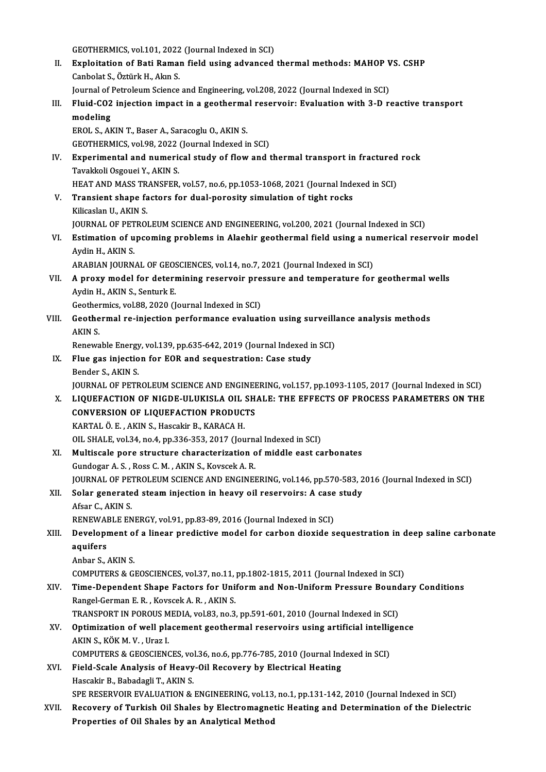GEOTHERMICS, vol.101, 2022 (Journal Indexed in SCI)<br>Eupleitation of Pati Roman field using advanced

GEOTHERMICS, vol.101, 2022 (Journal Indexed in SCI)<br>II. Exploitation of Bati Raman field using advanced thermal methods: MAHOP VS. CSHP<br>Conbelat S. Öttürk H. Alan S GEOTHERMICS, vol.101, 2022<br>Exploitation of Bati Ramar<br>Canbolat S., Öztürk H., Akın S.<br>Journal of Petroloum Sciance Exploitation of Bati Raman field using advanced thermal methods: MAHOP V<br>Canbolat S., Öztürk H., Akın S.<br>Journal of Petroleum Science and Engineering, vol.208, 2022 (Journal Indexed in SCI)<br>Eluid CO2 injection impact in a

Journal of Petroleum Science and Engineering, vol.208, 2022 (Journal Indexed in SCI)

Canbolat S., Öztürk H., Akın S.<br>Journal of Petroleum Science and Engineering, vol.208, 2022 (Journal Indexed in SCI)<br>III. Fluid-CO2 injection impact in a geothermal reservoir: Evaluation with 3-D reactive transport<br>modelin

EROL S., AKIN T., Baser A., Saracoglu O., AKIN S. GEOTHERMICS, vol.98, 2022 (Journal Indexed in SCI)

EROL S., AKIN T., Baser A., Saracoglu O., AKIN S.<br>GEOTHERMICS, vol.98, 2022 (Journal Indexed in SCI)<br>IV. Experimental and numerical study of flow and thermal transport in fractured rock<br>Tavakkali Ossausi Y. AKIN S. GEOTHERMICS, vol.98, 2022<br>Experimental and numeric<br>Tavakkoli Osgouei Y., AKIN S.<br>HEAT AND MASS TRANSEER Experimental and numerical study of flow and thermal transport in fractured<br>Tavakkoli Osgouei Y., AKIN S.<br>HEAT AND MASS TRANSFER, vol.57, no.6, pp.1053-1068, 2021 (Journal Indexed in SCI)<br>Transient shane factors for dual p

HEAT AND MASS TRANSFER, vol.57, no.6, pp.1053-1068, 2021 (Journal Indexed in SCI)

Tavakkoli Osgouei Y., AKIN S.<br>HEAT AND MASS TRANSFER, vol.57, no.6, pp.1053-1068, 2021 (Journal Inde<br>V. Transient shape factors for dual-porosity simulation of tight rocks<br>Kilicaslan U., AKIN S. Transient shape factors for dual-porosity simulation of tight rocks<br>Kilicaslan U., AKIN S.<br>JOURNAL OF PETROLEUM SCIENCE AND ENGINEERING, vol.200, 2021 (Journal Indexed in SCI)<br>Estimation of uncoming problems in Alechin gos

Kilicaslan U., AKIN S.<br>JOURNAL OF PETROLEUM SCIENCE AND ENGINEERING, vol.200, 2021 (Journal Indexed in SCI)<br>VI. Estimation of upcoming problems in Alaehir geothermal field using a numerical reservoir model<br>Ardin H. AKI **JOURNAL OF PET<br>Estimation of u<br>Aydin H., AKIN S.**<br>ARARIAN JOURN Estimation of upcoming problems in Alaehir geothermal field using a nu<br>Aydin H., AKIN S.<br>ARABIAN JOURNAL OF GEOSCIENCES, vol.14, no.7, 2021 (Journal Indexed in SCI)<br>A nnowy model for determining necesyois pressure and temp

Aydin H., AKIN S.<br>ARABIAN JOURNAL OF GEOSCIENCES, vol.14, no.7, 2021 (Journal Indexed in SCI)<br>VII. A proxy model for determining reservoir pressure and temperature for geothermal wells<br>Aydin H. AKIN S. Sonturk E ARABIAN JOURNAL OF GEOS<br>**A proxy model for deterr**<br>Aydin H., AKIN S., Senturk E.<br>Costbermiss. val 88–2020 (L A proxy model for determining reservoir pre<br>Aydin H., AKIN S., Senturk E.<br>Geothermics, vol.88, 2020 (Journal Indexed in SCI)<br>Ceothermal re-injection norformanes evoluat

Geothermics, vol.88, 2020 (Journal Indexed in SCI)

Aydin H., AKIN S., Senturk E.<br>Geothermics, vol.88, 2020 (Journal Indexed in SCI)<br>VIII. Geothermal re-injection performance evaluation using surveillance analysis methods<br>AKIN S. Geothermal re-injection performance evaluation using surveill:<br>AKIN S.<br>Renewable Energy, vol.139, pp.635-642, 2019 (Journal Indexed in SCI)<br>Flue gas injection for FOB and sequestration: Case study.

IX. Flue gas injection for EOR and sequestration: Case study<br>Bender S., AKIN S. Renewable Energy<br>Flue gas injectio<br>Bender S., AKIN S.<br>JOUPMAL OF PETP JOURNAL OF PETROLEUM SCIENCE AND ENGINEERING, vol.157, pp.1093-1105, 2017 (Journal Indexed in SCI)

X. LIQUEFACTION OF NIGDE-ULUKISLA OIL SHALE: THE EFFECTS OF PROCESS PARAMETERS ON THE JOURNAL OF PETROLEUM SCIENCE AND ENGINE<br>LIQUEFACTION OF NIGDE-ULUKISLA OIL SH.<br>CONVERSION OF LIQUEFACTION PRODUCTS<br>KARTAL Ö. E., AKIN S. HOSSARIE E. KARACA H LIQUEFACTION OF NIGDE-ULUKISLA OIL :<br>CONVERSION OF LIQUEFACTION PRODUC<br>KARTAL Ö. E. , AKIN S., Hascakir B., KARACA H.<br>QU. SHALE vol 24 no 4 nn 226 252 2017 (Jou KARTAL Ö. E. , AKIN S., Hascakir B., KARACA H.<br>OIL SHALE, vol.34, no.4, pp.336-353, 2017 (Journal Indexed in SCI)

XI. Multiscale pore structure characterization ofmiddle east carbonates Gundogar A.S., Ross C.M., AKIN S., Kovscek A.R. Multiscale pore structure characterization of middle east carbonates<br>Gundogar A. S. , Ross C. M. , AKIN S., Kovscek A. R.<br>JOURNAL OF PETROLEUM SCIENCE AND ENGINEERING, vol.146, pp.570-583, 2016 (Journal Indexed in SCI)<br>Sel Gundogar A. S. , Ross C. M. , AKIN S., Kovscek A. R.<br>JOURNAL OF PETROLEUM SCIENCE AND ENGINEERING, vol.146, pp.570-583, 2<br>XII. Solar generated steam injection in heavy oil reservoirs: A case study<br>Afgar C. AKIN S.

## **JOURNAL OF PET**<br>Solar generate<br>Afsar C., AKIN S.<br>RENEWARLE EN Solar generated steam injection in heavy oil reservoirs: A case<br>Afsar C., AKIN S.<br>RENEWABLE ENERGY, vol.91, pp.83-89, 2016 (Journal Indexed in SCI)<br>Development of a linear prodictive model for serbon diovide a

## Afsar C., AKIN S.<br>RENEWABLE ENERGY, vol.91, pp.83-89, 2016 (Journal Indexed in SCI)<br>XIII. Development of a linear predictive model for carbon dioxide sequestration in deep saline carbonate RENEWABLE ENERGY, vol.91, pp.83-89, 2016 (Journal Indexed in SCI)<br>Development of a linear predictive model for carbon dioxide s<br>aquifers<br>Anbar S., AKIN S. **Development o<br>aquifers<br>Anbar S., AKIN S.<br>COMPUTERS & CI**

COMPUTERS&GEOSCIENCES,vol.37,no.11,pp.1802-1815,2011 (Journal Indexed inSCI)

## Anbar S., AKIN S.<br>COMPUTERS & GEOSCIENCES, vol.37, no.11, pp.1802-1815, 2011 (Journal Indexed in SCI)<br>XIV. Time-Dependent Shape Factors for Uniform and Non-Uniform Pressure Boundary Conditions<br>Pangel Cerman E.B., Kaysek A. COMPUTERS & GEOSCIENCES, vol.37, no.11,<br>Time-Dependent Shape Factors for Unit<br>Rangel-German E.R., Kovscek A.R., AKIN S. Time-Dependent Shape Factors for Uniform and Non-Uniform Pressure Bound<br>Rangel-German E. R. , Kovscek A. R. , AKIN S.<br>TRANSPORT IN POROUS MEDIA, vol.83, no.3, pp.591-601, 2010 (Journal Indexed in SCI)<br>Ontimization of well Rangel-German E. R. , Kovscek A. R. , AKIN S.<br>TRANSPORT IN POROUS MEDIA, vol.83, no.3, pp.591-601, 2010 (Journal Indexed in SCI)<br>XV. Optimization of well placement geothermal reservoirs using artificial intelligence<br>AK

## TRANSPORT IN POROUS MEDIA, vol.83, no.3, pp.591-601, 2010 (Journal Indexed in SCI)<br>Optimization of well placement geothermal reservoirs using artificial intellige<br>AKIN S., KÖK M. V., Uraz I.<br>COMPUTERS & GEOSCIENCES, vol.36 Optimization of well placement geothermal reservoirs using artificial intellignty<br>S. KÖK M. V., Uraz I.<br>COMPUTERS & GEOSCIENCES, vol.36, no.6, pp.776-785, 2010 (Journal Indexed in SCI)

AKIN S., KÖK M. V. , Uraz I.<br>COMPUTERS & GEOSCIENCES, vol.36, no.6, pp.776-785, 2010 (Journal Inc<br>XVI. Field-Scale Analysis of Heavy-Oil Recovery by Electrical Heating<br>Heagelin B. Pebedeeli T. AKIN S. COMPUTERS & GEOSCIENCES, vo<br>Field-Scale Analysis of Heavy<br>Hascakir B., Babadagli T., AKIN S.<br>SPE PESERVOIR EVALUATION &

```
Hascakir B., Babadagli T., AKIN S.<br>SPE RESERVOIR EVALUATION & ENGINEERING, vol.13, no.1, pp.131-142, 2010 (Journal Indexed in SCI)
```
XVII. Recovery of Turkish Oil Shales by Electromagnetic Heating and Determination of the Dielectric Properties of Oil Shales by an Analytical Method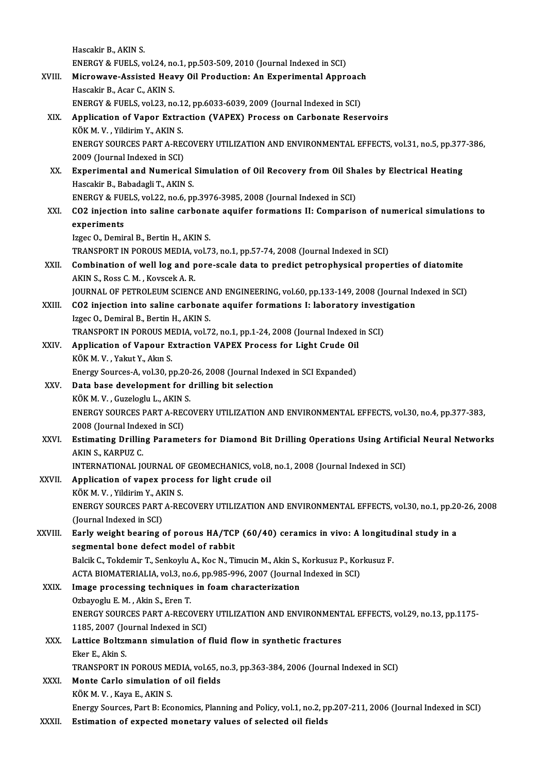Hascakir B., AKIN S. Hascakir B., AKIN S.<br>ENERGY & FUELS, vol.24, no.1, pp.503-509, 2010 (Journal Indexed in SCI)<br>Mianewaye, Assisted Heavy, Oil Production, An Eunenimental Annu XVIII. Microwave-Assisted Heavy Oil Production: An Experimental Approach<br>Hascakir B. Acar C. AKIN S. ENERGY & FUELS, vol.24, no<br>Microwave-Assisted Hea<br>Hascakir B., Acar C., AKIN S.<br>ENEDCY & EUELS vol.33, no Microwave-Assisted Heavy Oil Production: An Experimental Approacl<br>Hascakir B., Acar C., AKIN S.<br>ENERGY & FUELS, vol.23, no.12, pp.6033-6039, 2009 (Journal Indexed in SCI)<br>Application of Vapor Extraction (VAPEY) Process on XIX. Application of Vapor Extraction (VAPEX) Process on Carbonate Reservoirs ENERGY & FUELS, vol.23, no.1<br>Application of Vapor Extra<br>KÖK M. V. , Yildirim Y., AKIN S.<br>ENEPCY SOUPCES PAPT A PE Application of Vapor Extraction (VAPEX) Process on Carbonate Reservoirs<br>KÖK M. V. , Yildirim Y., AKIN S.<br>ENERGY SOURCES PART A-RECOVERY UTILIZATION AND ENVIRONMENTAL EFFECTS, vol.31, no.5, pp.377-386,<br>2009 (Jaurnal Indoved KÖK M. V. , Yildirim Y., AKIN S.<br>ENERGY SOURCES PART A-REC<br>2009 (Journal Indexed in SCI)<br>Experimental and Numerics ENERGY SOURCES PART A-RECOVERY UTILIZATION AND ENVIRONMENTAL EFFECTS, vol.31, no.5, pp.377<br>2009 (Journal Indexed in SCI)<br>XX. Experimental and Numerical Simulation of Oil Recovery from Oil Shales by Electrical Heating<br>Hesca 2009 (Journal Indexed in SCI)<br>**Experimental and Numerical**<br>Hascakir B., Babadagli T., AKIN S.<br>ENEPCY & EUELS vol 33 no 6 nu Experimental and Numerical Simulation of Oil Recovery from Oil Shandcard Hascakir B., Babadagli T., AKIN S.<br>ENERGY & FUELS, vol.22, no.6, pp.3976-3985, 2008 (Journal Indexed in SCI)<br>CO2 injection into soline carbonate equi Hascakir B., Babadagli T., AKIN S.<br>ENERGY & FUELS, vol.22, no.6, pp.3976-3985, 2008 (Journal Indexed in SCI)<br>XXI. CO2 injection into saline carbonate aquifer formations II: Comparison of numerical simulations to<br>evperi ENERGY & FUI<br>CO2 injection<br>experiments<br>lzce Q Demir experiments<br>Izgec O., Demiral B., Bertin H., AKIN S. TRANSPORT IN POROUS MEDIA, vol.73, no.1, pp.57-74, 2008 (Journal Indexed in SCI) Izgec O., Demiral B., Bertin H., AKIN S.<br>TRANSPORT IN POROUS MEDIA, vol.73, no.1, pp.57-74, 2008 (Journal Indexed in SCI)<br>XXII. Combination of well log and pore-scale data to predict petrophysical properties of diatomite<br>A TRANSPORT IN POROUS MEDIA, v<br>Combination of well log and p<br>AKIN S., Ross C. M. , Kovscek A. R.<br>JOUPMAL OF PETROLEUM SCIENC AKIN S., Ross C. M. , Kovscek A. R.<br>JOURNAL OF PETROLEUM SCIENCE AND ENGINEERING, vol.60, pp.133-149, 2008 (Journal Indexed in SCI) AKIN S., Ross C. M. , Kovscek A. R.<br>JOURNAL OF PETROLEUM SCIENCE AND ENGINEERING, vol.60, pp.133-149, 2008 (Journal In<br>XXIII. CO2 injection into saline carbonate aquifer formations I: laboratory investigation **JOURNAL OF PETROLEUM SCIENCE A<br>CO2 injection into saline carbona**<br>Izgec O., Demiral B., Bertin H., AKIN S.<br>TRANSPORT IN POPOUS MEDIA, VOLZ CO2 injection into saline carbonate aquifer formations I: laboratory invest<br>Izgec 0., Demiral B., Bertin H., AKIN S.<br>TRANSPORT IN POROUS MEDIA, vol.72, no.1, pp.1-24, 2008 (Journal Indexed in SCI)<br>Application of Vapour Ext Izgec O., Demiral B., Bertin H., AKIN S.<br>TRANSPORT IN POROUS MEDIA, vol.72, no.1, pp.1-24, 2008 (Journal Indexed :<br>XXIV. Application of Vapour Extraction VAPEX Process for Light Crude Oil<br>*V*ÖK M V. Valnt V. Alnn S. TRANSPORT IN POROUS MI<br>Application of Vapour E<br>KÖK M. V. , Yakut Y., Akın S.<br>Fnargy Sources A. vol 30. n Application of Vapour Extraction VAPEX Process for Light Crude Oil<br>KÖK M. V. , Yakut Y., Akın S.<br>Energy Sources-A, vol.30, pp.20-26, 2008 (Journal Indexed in SCI Expanded)<br>Data base develenment for drilling bit selection KÖK M. V., Yakut Y., Akın S.<br>Energy Sources-A, vol.30, pp.20-26, 2008 (Journal Inde<br>XXV. Data base development for drilling bit selection<br>EQKM V. Gurologhy L. AKIN S. Energy Sources-A, vol.30, pp.20-<br>Data base development for c<br>KÖK M. V. , Guzeloglu L., AKIN S.<br>ENEPCY SOUPCES PAPT A PECC Data base development for drilling bit selection<br>KÖK M. V. , Guzeloglu L., AKIN S.<br>ENERGY SOURCES PART A-RECOVERY UTILIZATION AND ENVIRONMENTAL EFFECTS, vol.30, no.4, pp.377-383,<br>2008 (Jaurnal Indoved in SCI) KÖK M. V. , Guzeloglu L., AKIN !<br>ENERGY SOURCES PART A-REC<br>2008 (Journal Indexed in SCI)<br>Estimating Drilling Baramet XXVI. Estimating Drilling Parameters for Diamond Bit Drilling Operations Using Artificial Neural Networks<br>AKIN S., KARPUZ C. 2008 (Journal Indexed in SCI) Estimating Drilling Parameters for Diamond Bit Drilling Operations Using Artific<br>AKIN S., KARPUZ C.<br>INTERNATIONAL JOURNAL OF GEOMECHANICS, vol.8, no.1, 2008 (Journal Indexed in SCI)<br>Annligation of vancy process for light s XXVII. Application of vapex process for light crude oil<br>KÖK M.V., Yildirim Y., AKIN S. INTERNATIONAL JOURNAL OF<br>Application of vapex proce<br>KÖK M. V. , Yildirim Y., AKIN S.<br>ENEDCY SOUDGES DART A BE Application of vapex process for light crude oil<br>KÖK M. V. , Yildirim Y., AKIN S.<br>ENERGY SOURCES PART A-RECOVERY UTILIZATION AND ENVIRONMENTAL EFFECTS, vol.30, no.1, pp.20-26, 2008<br>(Jaunnal Indoved in SCL) KÖK M. V. , Yildirim Y., AK<br>ENERGY SOURCES PART<br>(Journal Indexed in SCI)<br>Early weight bearing ENERGY SOURCES PART A-RECOVERY UTILIZATION AND ENVIRONMENTAL EFFECTS, vol.30, no.1, pp.20<br>(Journal Indexed in SCI)<br>XXVIII. Early weight bearing of porous HA/TCP (60/40) ceramics in vivo: A longitudinal study in a<br>segmental (Journal Indexed in SCI)<br>Early weight bearing of porous HA/TCI<br>segmental bone defect model of rabbit<br>Pakik G. Tekdemir T. Senkeylu A. Kec N. Ti Early weight bearing of porous HA/TCP (60/40) ceramics in vivo: A longitud<br>segmental bone defect model of rabbit<br>Balcik C., Tokdemir T., Senkoylu A., Koc N., Timucin M., Akin S., Korkusuz P., Korkusuz F.<br>ACTA BIOMATERIALIA segmental bone defect model of rabbit<br>Balcik C., Tokdemir T., Senkoylu A., Koc N., Timucin M., Akin S., Korkusuz P., Korkusuz F.<br>ACTA BIOMATERIALIA, vol.3, no.6, pp.985-996, 2007 (Journal Indexed in SCI) Balcik C., Tokdemir T., Senkoylu A., Koc N., Timucin M., Akin S.,<br>ACTA BIOMATERIALIA, vol.3, no.6, pp.985-996, 2007 (Journal<br>XXIX. Image processing techniques in foam characterization<br>Orbayoglu E.M., Akin S. Fron T. ACTA BIOMATERIALIA, vol.3, no.<br>Image processing techniques<br>Ozbayoglu E. M. , Akin S., Eren T.<br>ENEPCY SOUPCES PAPT A PECO Image processing techniques in foam characterization<br>Ozbayoglu E. M. , Akin S., Eren T.<br>ENERGY SOURCES PART A-RECOVERY UTILIZATION AND ENVIRONMENTAL EFFECTS, vol.29, no.13, pp.1175-<br>1195-2007 (Journal Indoved in SCI) Ozbayoglu E. M. , Akin S., Eren T.<br>ENERGY SOURCES PART A-RECOVER<br>1185, 2007 (Journal Indexed in SCI) ENERGY SOURCES PART A-RECOVERY UTILIZATION AND ENVIRONMENT<br>1185, 2007 (Journal Indexed in SCI)<br>XXX. Lattice Boltzmann simulation of fluid flow in synthetic fractures<br>Else E. Altin S 1185, 2007 (Jo<br>Lattice Boltzr<br>Eker E., Akin S.<br>TRANSPOPT IN Lattice Boltzmann simulation of fluid flow in synthetic fractures<br>Eker E., Akin S.<br>TRANSPORT IN POROUS MEDIA, vol.65, no.3, pp.363-384, 2006 (Journal Indexed in SCI)<br>Manta Carla simulation of ail fields Eker E., Akin S.<br>TRANSPORT IN POROUS MEDIA, vol.65, 1<br>XXXI. Monte Carlo simulation of oil fields<br>KÖK M. V. , Kaya E., AKIN S. TRANSPORT IN POROUS MI<br>Monte Carlo simulation<br>KÖK M. V. , Kaya E., AKIN S.<br>Energy Sources Pert B. Ess Energy Sources, Part B: Economics, Planning and Policy, vol.1, no.2, pp.207-211, 2006 (Journal Indexed in SCI) XXXII. Estimation of expected monetary values of selected oil fields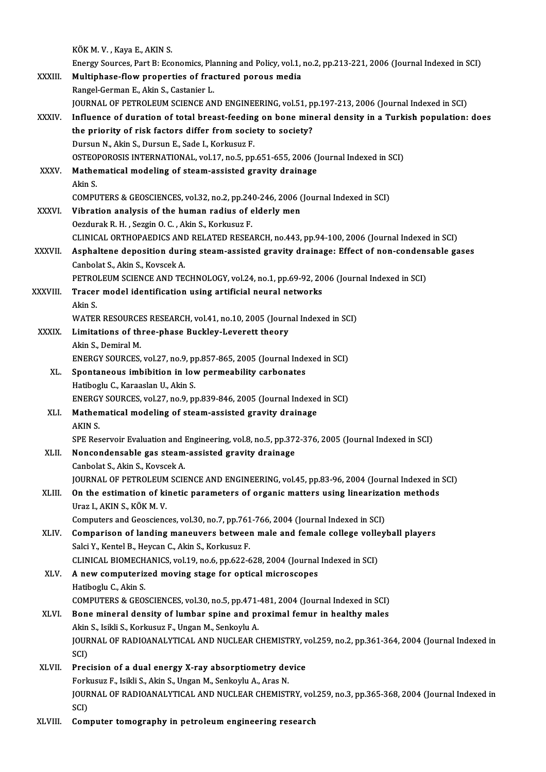|              | KÖK M. V., Kaya E., AKIN S.                                                                                                                |
|--------------|--------------------------------------------------------------------------------------------------------------------------------------------|
|              | Energy Sources, Part B: Economics, Planning and Policy, vol.1, no.2, pp.213-221, 2006 (Journal Indexed in SCI)                             |
| XXXIII.      | Multiphase-flow properties of fractured porous media                                                                                       |
|              | Rangel-German E., Akin S., Castanier L.                                                                                                    |
|              | JOURNAL OF PETROLEUM SCIENCE AND ENGINEERING, vol.51, pp.197-213, 2006 (Journal Indexed in SCI)                                            |
| XXXIV.       | Influence of duration of total breast-feeding on bone mineral density in a Turkish population: does                                        |
|              | the priority of risk factors differ from society to society?                                                                               |
|              | Dursun N., Akin S., Dursun E., Sade I., Korkusuz F.                                                                                        |
|              | OSTEOPOROSIS INTERNATIONAL, vol.17, no.5, pp.651-655, 2006 (Journal Indexed in SCI)                                                        |
| XXXV.        | Mathematical modeling of steam-assisted gravity drainage                                                                                   |
|              | Akin S.                                                                                                                                    |
|              | COMPUTERS & GEOSCIENCES, vol.32, no.2, pp.240-246, 2006 (Journal Indexed in SCI)                                                           |
| <b>XXXVI</b> | Vibration analysis of the human radius of elderly men                                                                                      |
|              | Oezdurak R. H., Sezgin O. C., Akin S., Korkusuz F.                                                                                         |
|              | CLINICAL ORTHOPAEDICS AND RELATED RESEARCH, no.443, pp.94-100, 2006 (Journal Indexed in SCI)                                               |
| XXXVII.      | Asphaltene deposition during steam-assisted gravity drainage: Effect of non-condensable gases                                              |
|              | Canbolat S., Akin S., Kovscek A.<br>PETROLEUM SCIENCE AND TECHNOLOGY, vol.24, no.1, pp.69-92, 2006 (Journal Indexed in SCI)                |
| XXXVIII.     | Tracer model identification using artificial neural networks                                                                               |
|              | Akin S                                                                                                                                     |
|              | WATER RESOURCES RESEARCH, vol.41, no.10, 2005 (Journal Indexed in SCI)                                                                     |
| <b>XXXIX</b> | Limitations of three-phase Buckley-Leverett theory                                                                                         |
|              | Akin S, Demiral M                                                                                                                          |
|              | ENERGY SOURCES, vol.27, no.9, pp.857-865, 2005 (Journal Indexed in SCI)                                                                    |
| XL.          | Spontaneous imbibition in low permeability carbonates                                                                                      |
|              | Hatiboglu C., Karaaslan U., Akin S.                                                                                                        |
|              | ENERGY SOURCES, vol.27, no.9, pp.839-846, 2005 (Journal Indexed in SCI)                                                                    |
| XLI.         | Mathematical modeling of steam-assisted gravity drainage                                                                                   |
|              | AKIN S.                                                                                                                                    |
|              | SPE Reservoir Evaluation and Engineering, vol.8, no.5, pp.372-376, 2005 (Journal Indexed in SCI)                                           |
| XLII.        | Noncondensable gas steam-assisted gravity drainage                                                                                         |
|              | Canbolat S., Akin S., Kovscek A.                                                                                                           |
|              | JOURNAL OF PETROLEUM SCIENCE AND ENGINEERING, vol.45, pp.83-96, 2004 (Journal Indexed in SCI)                                              |
| XLIII.       | On the estimation of kinetic parameters of organic matters using linearization methods                                                     |
|              | Uraz I., AKIN S., KÖK M. V.                                                                                                                |
|              | Computers and Geosciences, vol.30, no.7, pp.761-766, 2004 (Journal Indexed in SCI)                                                         |
| XLIV.        | Comparison of landing maneuvers between male and female college volleyball players<br>Salci Y., Kentel B., Heycan C., Akin S., Korkusuz F. |
|              | CLINICAL BIOMECHANICS, vol.19, no.6, pp.622-628, 2004 (Journal Indexed in SCI)                                                             |
| XLV.         | A new computerized moving stage for optical microscopes                                                                                    |
|              | Hatiboglu C., Akin S.                                                                                                                      |
|              | COMPUTERS & GEOSCIENCES, vol.30, no.5, pp.471-481, 2004 (Journal Indexed in SCI)                                                           |
| XLVI.        | Bone mineral density of lumbar spine and proximal femur in healthy males                                                                   |
|              | Akin S., Isikli S., Korkusuz F., Ungan M., Senkoylu A.                                                                                     |
|              | JOURNAL OF RADIOANALYTICAL AND NUCLEAR CHEMISTRY, vol.259, no.2, pp.361-364, 2004 (Journal Indexed in                                      |
|              | SCI)                                                                                                                                       |
| XLVII.       | Precision of a dual energy X-ray absorptiometry device                                                                                     |
|              | Forkusuz F., Isikli S., Akin S., Ungan M., Senkoylu A., Aras N.                                                                            |
|              | JOURNAL OF RADIOANALYTICAL AND NUCLEAR CHEMISTRY, vol.259, no.3, pp.365-368, 2004 (Journal Indexed in                                      |
|              | SCI)                                                                                                                                       |
| XLVIII.      | Computer tomography in petroleum engineering research                                                                                      |
|              |                                                                                                                                            |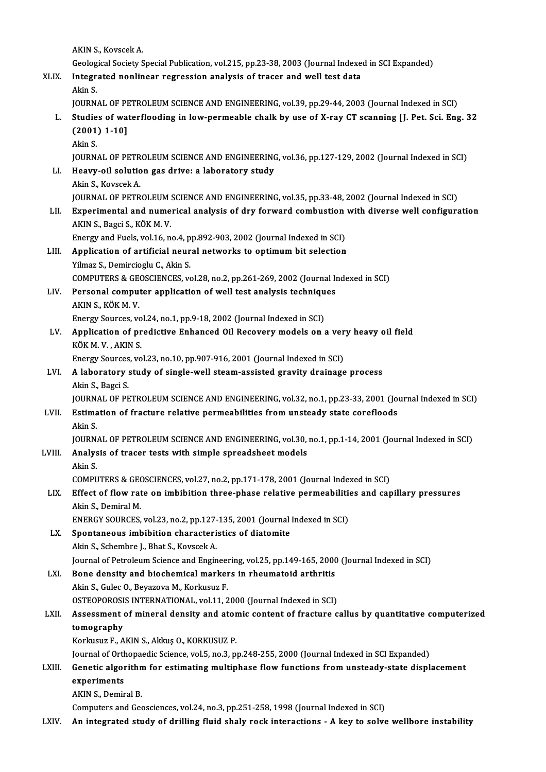AKIN S., Kovscek A.

AKIN S., Kovscek A.<br>Geological Society Special Publication, vol.215, pp.23-38, 2003 (Journal Indexed in SCI Expanded)<br>Integrated nonlinear regression anglysis of tressr and well test data AKIN S., Kovscek A.<br>Geological Society Special Publication, vol.215, pp.23-38, 2003 (Journal Indexer<br>XLIX. Integrated nonlinear regression analysis of tracer and well test data Geolog<br><mark>Integr</mark><br>Akin S.<br>JOUPN

Integrated nonlinear regression analysis of tracer and well test data<br>Akin S.<br>JOURNAL OF PETROLEUM SCIENCE AND ENGINEERING, vol.39, pp.29-44, 2003 (Journal Indexed in SCI)<br>Studies of waterflooding in Jow normooble shalk by

Akin S.<br>JOURNAL OF PETROLEUM SCIENCE AND ENGINEERING, vol.39, pp.29-44, 2003 (Journal Indexed in SCI)<br>L. Studies of waterflooding in low-permeable chalk by use of X-ray CT scanning [J. Pet. Sci. Eng. 32 JOURNAL OF PI<br>Studies of wa<br>(2001) 1-10]  $(2001) 1-10$ ]<br>Akin S. JOURNAL OF PETROLEUM SCIENCE AND ENGINEERING, vol.36, pp.127-129, 2002 (Journal Indexed in SCI) Akin S.<br>JOURNAL OF PETROLEUM SCIENCE AND ENGINEERING<br>LI. Heavy-oil solution gas drive: a laboratory study **JOURNAL OF PETR<br>Heavy-oil solutio<br>Akin S., Kovscek A.<br>JOUPNAL OF PETP** Akin S., Kovscek A.<br>JOURNAL OF PETROLEUM SCIENCE AND ENGINEERING, vol.35, pp.33-48, 2002 (Journal Indexed in SCI) LII. Experimental and numerical analysis of dry forward combustion with diverse well configuration AKINS.,BagciS.,KÖKM.V. Experimental and numerical analysis of dry forward combustion<br>AKIN S., Bagci S., KÖK M. V.<br>Energy and Fuels, vol.16, no.4, pp.892-903, 2002 (Journal Indexed in SCI)<br>Annligation of artificial nounal naturalis to ontimum bit LIII. Application of artificial neural networks to optimum bit selection<br>Yilmaz S., Demircioglu C., Akin S. Energy and Fuels, vol.16, no.4, p<br>Application of artificial neur<br>Yilmaz S., Demircioglu C., Akin S.<br>COMBUTERS & CEOSCIENCES Application of artificial neural networks to optimum bit selection<br>Yilmaz S., Demircioglu C., Akin S.<br>COMPUTERS & GEOSCIENCES, vol.28, no.2, pp.261-269, 2002 (Journal Indexed in SCI)<br>Personal computer application of well t Yilmaz S., Demircioglu C., Akin S.<br>COMPUTERS & GEOSCIENCES, vol.28, no.2, pp.261-269, 2002 (Journal In LIV. Personal computer application of well test analysis techniques COMPUTERS & GE<br>Personal comput<br>AKIN S., KÖK M. V.<br>Energy Seurses vs Personal computer application of well test analysis technique<br>AKIN S., KÖK M. V.<br>Energy Sources, vol.24, no.1, pp.9-18, 2002 (Journal Indexed in SCI)<br>Application of prodictive Enhanced Oil Becovery models on *i* AKIN S., KÖK M. V.<br>Energy Sources, vol.24, no.1, pp.9-18, 2002 (Journal Indexed in SCI)<br>LV. Application of predictive Enhanced Oil Recovery models on a very heavy oil field<br>vöv M V AKIN S Energy Sources, vol.24, no.1, pp.9-18, 2002 (Journal Indexed in SCI)<br>Application of predictive Enhanced Oil Recovery models on<br>KÖK M. V., AKIN S. Application of predictive Enhanced Oil Recovery models on a ver<br>KÖK M. V., AKIN S.<br>Energy Sources, vol.23, no.10, pp.907-916, 2001 (Journal Indexed in SCI)<br>A laboratory study of single well steam assisted growity drainage LVI. A laboratory study of single-well steam-assisted gravity drainage process<br>Akin S., Bagci S. Energy Sources, vol.23, no.10, pp.907-916, 2001 (Journal Indexed in SCI) A laboratory study of single-well steam-assisted gravity drainage process<br>Akin S., Bagci S.<br>JOURNAL OF PETROLEUM SCIENCE AND ENGINEERING, vol.32, no.1, pp.23-33, 2001 (Journal Indexed in SCI)<br>Estimation of frasture relativ Akin S., Bagci S.<br>JOURNAL OF PETROLEUM SCIENCE AND ENGINEERING, vol.32, no.1, pp.23-33, 2001 (Journal<br>LVII. Estimation of fracture relative permeabilities from unsteady state corefloods JOURN.<br><mark>Estima</mark><br>Akin S.<br>JOUPN Estimation of fracture relative permeabilities from unsteady state corefloods<br>Akin S.<br>JOURNAL OF PETROLEUM SCIENCE AND ENGINEERING, vol.30, no.1, pp.1-14, 2001 (Journal Indexed in SCI)<br>Analysis of trasor tosts with simple Akin S.<br>JOURNAL OF PETROLEUM SCIENCE AND ENGINEERING, vol.30,<br>LVIII. Analysis of tracer tests with simple spreadsheet models<br>Akin S. JOURN.<br><mark>Analys</mark><br>Akin S.<br>COMPU Analysis of tracer tests with simple spreadsheet models<br>Akin S.<br>COMPUTERS & GEOSCIENCES, vol.27, no.2, pp.171-178, 2001 (Journal Indexed in SCI)<br>Effect of flow rate on imbibition three phase relative permeabilities and con Akin S.<br>COMPUTERS & GEOSCIENCES, vol.27, no.2, pp.171-178, 2001 (Journal Indexed in SCI)<br>LIX. Effect of flow rate on imbibition three-phase relative permeabilities and capillary pressures<br>Alin S. Demirel M COMPUTERS & GEO<br>Effect of flow rat<br>Akin S., Demiral M.<br>ENERCY SOURCES Effect of flow rate on imbibition three-phase relative permeabilition<br>Akin S., Demiral M.<br>ENERGY SOURCES, vol.23, no.2, pp.127-135, 2001 (Journal Indexed in SCI)<br>Spentaneous imbibition sharestaristics of distamite Akin S., Demiral M.<br>ENERGY SOURCES, vol.23, no.2, pp.127-135, 2001 (Journal Indexed in SCI)<br>LX. Spontaneous imbibition characteristics of diatomite

- Akin S., Schembre J., Bhat S., Kovscek A. Journal of Petroleum Science and Engineering, vol.25, pp.149-165, 2000 (Journal Indexed in SCI)
- LXI. Bone density and biochemical markers in rheumatoid arthritis Akin S., Gulec O., Beyazova M., Korkusuz F. OSTEOPOROSIS INTERNATIONAL, vol.11, 2000 (Journal Indexed in SCI) Akin S., Gulec O., Beyazova M., Korkusuz F.<br>OSTEOPOROSIS INTERNATIONAL, vol.11, 2000 (Journal Indexed in SCI)<br>LXII. Assessment of mineral density and atomic content of fracture callus by quantitative computerized<br>tomograph

## OSTEOPOROSI<br>Assessment<br>tomography<br>Korkusuz E.A Assessment of mineral density and ator<br>tomography<br>Korkusuz F., AKIN S., Akkuş O., KORKUSUZ P.<br>Journal of Orthonoodia Scionee, vol 5, no 3, n tomography<br>Korkusuz F., AKIN S., Akkuş O., KORKUSUZ P.<br>Journal of Orthopaedic Science, vol.5, no.3, pp.248-255, 2000 (Journal Indexed in SCI Expanded)

Korkusuz F., AKIN S., Akkuş O., KORKUSUZ P.<br>Journal of Orthopaedic Science, vol.5, no.3, pp.248-255, 2000 (Journal Indexed in SCI Expanded)<br>LXIII. Genetic algorithm for estimating multiphase flow functions from unsteady-st **Journal of Orth<br>Genetic algor<br>experiments**<br>AVIN S. Domin **Genetic algorithm**<br>experiments<br>AKIN S., Demiral B.<br>Computers and Cos experiments<br>AKIN S., Demiral B.<br>Computers and Geosciences, vol.24, no.3, pp.251-258, 1998 (Journal Indexed in SCI)

LXIV. An integrated study of drilling fluid shaly rock interactions - A key to solve wellbore instability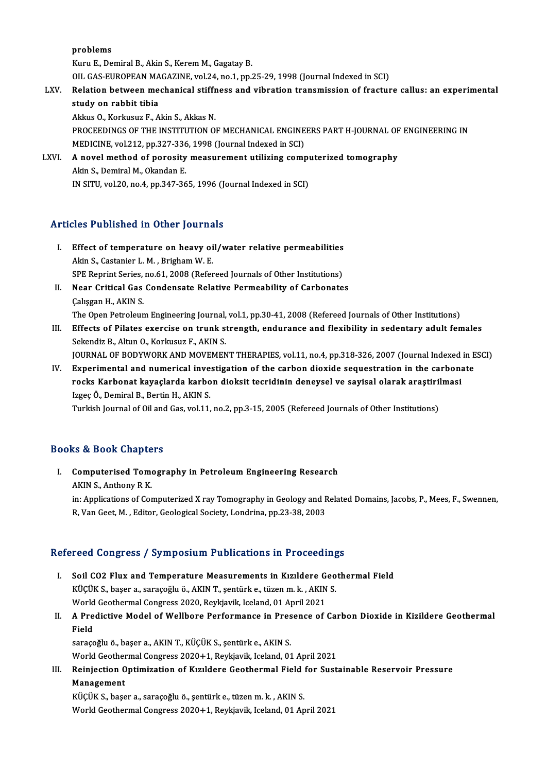problems

Kuru E., Demiral B., Akin S., Kerem M., Gagatay B.

OILGAS-EUROPEANMAGAZINE,vol.24,no.1,pp.25-29,1998 (Journal Indexed inSCI)

Kuru E., Demiral B., Akin S., Kerem M., Gagatay B.<br>OIL GAS-EUROPEAN MAGAZINE, vol.24, no.1, pp.25-29, 1998 (Journal Indexed in SCI)<br>LXV. Relation between mechanical stiffness and vibration transmission of fracture call OIL GAS-EUROPEAN MA<br>Relation between me<br>study on rabbit tibia<br>Akkue O. Korkusuz E. A Relation between mechanical stiffr<br>study on rabbit tibia<br>Akkus O., Korkusuz F., Akin S., Akkas N.<br>PROCEEDINCS OF THE INSTITUTION O

study on rabbit tibia<br>Akkus O., Korkusuz F., Akin S., Akkas N.<br>PROCEEDINGS OF THE INSTITUTION OF MECHANICAL ENGINEERS PART H-JOURNAL OF ENGINEERING IN<br>MEDICINE vol.212 pp.227-226-1998 (Journal Indoved in SC). Akkus O., Korkusuz F., Akin S., Akkas N.<br>PROCEEDINGS OF THE INSTITUTION OF MECHANICAL ENGINE<br>MEDICINE, vol.212, pp.327-336, 1998 (Journal Indexed in SCI)<br>A novel method of norosity measurement utilizing somr PROCEEDINGS OF THE INSTITUTION OF MECHANICAL ENGINEERS PART H-JOURNAL OF<br>MEDICINE, vol.212, pp.327-336, 1998 (Journal Indexed in SCI)<br>LXVI. A novel method of porosity measurement utilizing computerized tomography

MEDICINE, vol.212, pp.327-336<br>A novel method of porosity<br>Akin S., Demiral M., Okandan E.<br>IN SITU vol.20, no.4, np.347,36 Akin S., Demiral M., Okandan E.<br>IN SITU, vol.20, no.4, pp.347-365, 1996 (Journal Indexed in SCI)

## Articles Published in Other Journals

- rticles Published in Other Journals<br>I. Effect of temperature on heavy oil/water relative permeabilities Akin S., Castanier L. M., Brigham W. E. Effect of temperature on heavy oil/water relative permeabilities<br>Akin S., Castanier L. M. , Brigham W. E.<br>SPE Reprint Series, no.61, 2008 (Refereed Journals of Other Institutions)<br>Near Critical Cas Condensate Belative Berm Akin S., Castanier L. M. , Brigham W. E.<br>SPE Reprint Series, no.61, 2008 (Refereed Journals of Other Institutions)<br>II. Near Critical Gas Condensate Relative Permeability of Carbonates<br>Colisson H. AKIN S.
- SPE Reprint Series,<br>Near Critical Gas<br>Çalışgan H., AKIN S.<br>The Open Betroleun Near Critical Gas Condensate Relative Permeability of Carbonates<br>Calışgan H., AKIN S.<br>The Open Petroleum Engineering Journal, vol.1, pp.30-41, 2008 (Refereed Journals of Other Institutions)<br>Effects of Bilates avencise on t

Calisgan H., AKIN S.<br>The Open Petroleum Engineering Journal, vol.1, pp.30-41, 2008 (Refereed Journals of Other Institutions)<br>III. Effects of Pilates exercise on trunk strength, endurance and flexibility in sedentary adult The Open Petroleum Engineering Journal,<br>Effects of Pilates exercise on trunk s<br>Sekendiz B., Altun O., Korkusuz F., AKIN S.<br>JOUPNAL OF PODYWOPK AND MOVEMEN Effects of Pilates exercise on trunk strength, endurance and flexibility in sedentary adult females<br>Sekendiz B., Altun O., Korkusuz F., AKIN S.<br>JOURNAL OF BODYWORK AND MOVEMENT THERAPIES, vol.11, no.4, pp.318-326, 2007 (Jo Sekendiz B., Altun O., Korkusuz F., AKIN S.<br>JOURNAL OF BODYWORK AND MOVEMENT THERAPIES, vol.11, no.4, pp.318-326, 2007 (Journal Indexed in E<br>IV. Experimental and numerical investigation of the carbon dioxide sequestration

JOURNAL OF BODYWORK AND MOVEMENT THERAPIES, vol.11, no.4, pp.318-326, 2007 (Journal Indexed<br>Experimental and numerical investigation of the carbon dioxide sequestration in the carbon:<br>rocks Karbonat kayaçlarda karbon dioks IV. Experimental and numerical investigation of the carbon dioxide sequestration in the carbonate<br>rocks Karbonat kayaçlarda karbon dioksit tecridinin deneysel ve sayisal olarak araştirilmasi<br>Izgeç Ö., Demiral B., Bertin H. rocks Karbonat kayaçlarda karbon dioksit tecridinin deneysel ve sayisal olarak araştirilmasi

### Books&Book Chapters

ooks & Book Chapters<br>I. Computerised Tomography in Petroleum Engineering Research<br>AKIN S. Anthony B K Let be sook unapprox<br>Computerised Tome<br>AKIN S., Anthony R K. AKIN S., Anthony R K.<br>in: Applications of Computerized X ray Tomography in Geology and Related Domains, Jacobs, P., Mees, F., Swennen, R, Van Geet, M., Editor, Geological Society, Londrina, pp.23-38, 2003

### Refereed Congress / Symposium Publications in Proceedings

- efereed Congress / Symposium Publications in Proceedings<br>I. Soil CO2 Flux and Temperature Measurements in Kızıldere Geothermal Field<br>Küçük S. basar a. sarasağluğ. AKINT, santürk a. türan m. k. AKIN S. KÜÇÜK S., başer a., saraçoğlu ö., AKIN T., şentürk e., tüzenm.k., AKIN S.<br>KÜÇÜK S., başer a., saraçoğlu ö., AKIN T., şentürk e., tüzen m. k., AKIN S.<br>World Costhermal Congress 2020, Bevliavik Jeeland, 01 Anril 2021 Soil CO2 Flux and Temperature Measurements in Kızıldere G<br>KÜÇÜK S., başer a., saraçoğlu ö., AKIN T., şentürk e., tüzen m. k. , AKIN<br>World Geothermal Congress 2020, Reykjavik, Iceland, 01 April 2021<br>A Predistive Model of We KÜÇÜK S., başer a., saraçoğlu ö., AKIN T., şentürk e., tüzen m. k. , AKIN S.<br>World Geothermal Congress 2020, Reykjavik, Iceland, 01 April 2021<br>II. A Predictive Model of Wellbore Performance in Presence of Carbon Dioxid
- World<br>**A Pre**<br>Field<br>sarass A Predictive Model of Wellbore Performance in Pres<br>Field<br>saraçoğlu ö., başer a., AKIN T., KÜÇÜK S., şentürk e., AKIN S.<br>Werld Ceathermal Congress 2020 L1, Berliavik Josland, 01

Fi<mark>eld</mark><br>saraçoğlu ö., başer a., AKIN T., KÜÇÜK S., şentürk e., AKIN S.<br>World Geothermal Congress 2020+1, Reykjavik, Iceland, 01 April 2021<br>Beiniestian Ontimiratian of Kırıldara Ceathermal Field far Sust

## saraçoğlu ö., başer a., AKIN T., KÜÇÜK S., şentürk e., AKIN S.<br>World Geothermal Congress 2020+1, Reykjavik, Iceland, 01 April 2021<br>III. Reinjection Optimization of Kızıldere Geothermal Field for Sustainable Reservoir P World Geother<br>Reinjection O<br>Management<br>*vücüv S*. bass Reinjection Optimization of Kızıldere Geothermal Field<br>Management<br>KÜÇÜK S., başer a., saraçoğlu ö., şentürk e., tüzenm.k. , AKIN S.<br>World Ceothermal Congress 2020-t 1. Beykiavik Jeeland 01 An

Management<br>KÜÇÜK S., başer a., saraçoğlu ö., şentürk e., tüzen m. k. , AKIN S.<br>World Geothermal Congress 2020+1, Reykjavik, Iceland, 01 April 2021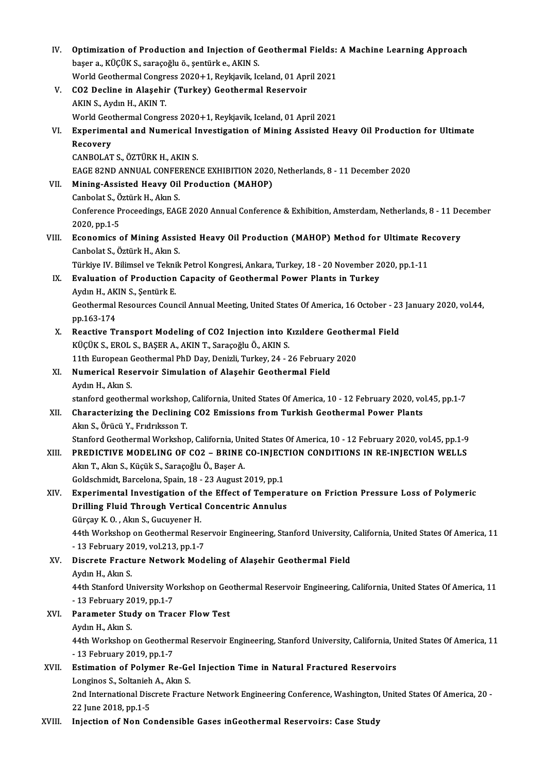| IV.    | Optimization of Production and Injection of Geothermal Fields: A Machine Learning Approach                                                                                                    |
|--------|-----------------------------------------------------------------------------------------------------------------------------------------------------------------------------------------------|
|        | başer a., KÜÇÜK S., saraçoğlu ö., şentürk e., AKIN S.                                                                                                                                         |
|        | World Geothermal Congress 2020+1, Reykjavik, Iceland, 01 April 2021                                                                                                                           |
| V.     | CO2 Decline in Alaşehir (Turkey) Geothermal Reservoir                                                                                                                                         |
|        | AKIN S., Aydın H., AKIN T.                                                                                                                                                                    |
|        | World Geothermal Congress 2020+1, Reykjavik, Iceland, 01 April 2021                                                                                                                           |
| VI.    | Experimental and Numerical Investigation of Mining Assisted Heavy Oil Production for Ultimate                                                                                                 |
|        | Recovery                                                                                                                                                                                      |
|        | CANBOLAT S., ÖZTÜRK H., AKIN S.                                                                                                                                                               |
|        | EAGE 82ND ANNUAL CONFERENCE EXHIBITION 2020, Netherlands, 8 - 11 December 2020                                                                                                                |
| VII.   | Mining-Assisted Heavy Oil Production (MAHOP)                                                                                                                                                  |
|        | Canbolat S., Öztürk H., Akın S.                                                                                                                                                               |
|        | Conference Proceedings, EAGE 2020 Annual Conference & Exhibition, Amsterdam, Netherlands, 8 - 11 December                                                                                     |
|        | 2020, pp 1-5                                                                                                                                                                                  |
| VIII.  | Economics of Mining Assisted Heavy Oil Production (MAHOP) Method for Ultimate Recovery                                                                                                        |
|        | Canbolat S., Öztürk H., Akın S.                                                                                                                                                               |
|        | Türkiye IV. Bilimsel ve Teknik Petrol Kongresi, Ankara, Turkey, 18 - 20 November 2020, pp.1-11                                                                                                |
| IX.    | Evaluation of Production Capacity of Geothermal Power Plants in Turkey                                                                                                                        |
|        | Aydın H., AKIN S., Şentürk E.                                                                                                                                                                 |
|        | Geothermal Resources Council Annual Meeting, United States Of America, 16 October - 23 January 2020, vol.44,                                                                                  |
|        | pp 163-174                                                                                                                                                                                    |
| X.     | Reactive Transport Modeling of CO2 Injection into Kizildere Geothermal Field                                                                                                                  |
|        | KÜÇÜK S., EROL S., BAŞER A., AKIN T., Saraçoğlu Ö., AKIN S.                                                                                                                                   |
|        | 11th European Geothermal PhD Day, Denizli, Turkey, 24 - 26 February 2020                                                                                                                      |
| XI.    | Numerical Reservoir Simulation of Alaşehir Geothermal Field                                                                                                                                   |
|        | Aydın H., Akın S.                                                                                                                                                                             |
|        | stanford geothermal workshop, California, United States Of America, 10 - 12 February 2020, vol.45, pp.1-7                                                                                     |
| XII.   | Characterizing the Declining CO2 Emissions from Turkish Geothermal Power Plants                                                                                                               |
|        | Akın S. Örücü Y. Frıdrıksson T                                                                                                                                                                |
| XIII.  | Stanford Geothermal Workshop, California, United States Of America, 10 - 12 February 2020, vol.45, pp.1-9<br>PREDICTIVE MODELING OF CO2 - BRINE CO-INJECTION CONDITIONS IN RE-INJECTION WELLS |
|        | Akın T., Akın S., Küçük S., Saraçoğlu Ö., Başer A.                                                                                                                                            |
|        | Goldschmidt, Barcelona, Spain, 18 - 23 August 2019, pp.1                                                                                                                                      |
| XIV.   | Experimental Investigation of the Effect of Temperature on Friction Pressure Loss of Polymeric                                                                                                |
|        | Drilling Fluid Through Vertical Concentric Annulus                                                                                                                                            |
|        | Gürçay K.O., Akın S., Gucuyener H.                                                                                                                                                            |
|        | 44th Workshop on Geothermal Reservoir Engineering, Stanford University, California, United States Of America, 11                                                                              |
|        | - 13 February 2019, vol.213, pp.1-7                                                                                                                                                           |
| XV.    | Discrete Fracture Network Modeling of Alaşehir Geothermal Field                                                                                                                               |
|        | Aydın H., Akın S.                                                                                                                                                                             |
|        | 44th Stanford University Workshop on Geothermal Reservoir Engineering, California, United States Of America, 11                                                                               |
|        | - 13 February 2019, pp 1-7                                                                                                                                                                    |
| XVI.   | Parameter Study on Tracer Flow Test                                                                                                                                                           |
|        | Aydın H., Akın S.                                                                                                                                                                             |
|        | 44th Workshop on Geothermal Reservoir Engineering, Stanford University, California, United States Of America, 11                                                                              |
|        | - 13 February 2019, pp 1-7                                                                                                                                                                    |
| XVII.  | Estimation of Polymer Re-Gel Injection Time in Natural Fractured Reservoirs                                                                                                                   |
|        | Longinos S., Soltanieh A., Akın S.                                                                                                                                                            |
|        | 2nd International Discrete Fracture Network Engineering Conference, Washington, United States Of America, 20 -                                                                                |
|        | 22 June 2018, pp 1-5                                                                                                                                                                          |
| XVIII. | Injection of Non Condensible Gases inGeothermal Reservoirs: Case Study                                                                                                                        |
|        |                                                                                                                                                                                               |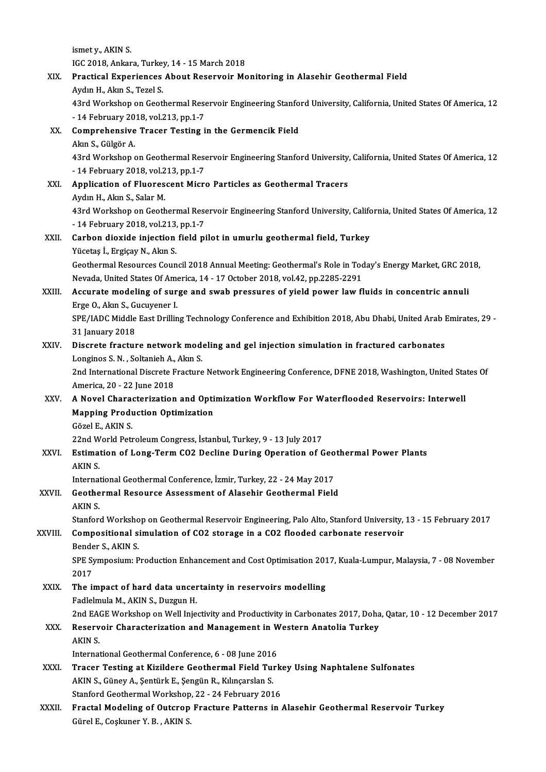ismety.,AKINS. ismet y., AKIN S.<br>IGC 2018, Ankara, Turkey, 14 - 15 March 2018<br>Presticel Eunerienses, About Beservein Me XIX. Practical Experiences About Reservoir Monitoring in Alasehir Geothermal Field IGC 2018, Ankara, Turke<br>Practical Experiences<br>Aydın H., Akın S., Tezel S.<br>42rd Workshan an Ceat Practical Experiences About Reservoir Monitoring in Alasehir Geothermal Field<br>Aydın H., Akın S., Tezel S.<br>43rd Workshop on Geothermal Reservoir Engineering Stanford University, California, United States Of America, 12<br>14 F Aydın H., Akın S., Tezel S.<br>43rd Workshop on Geothermal Rese<br>- 14 February 2018, vol.213, pp.1-7<br>Comprehensive Traser Testing i 43rd Workshop on Geothermal Reservoir Engineering Stanfo<br>- 14 February 2018, vol.213, pp.1-7<br>XX. Comprehensive Tracer Testing in the Germencik Field - 14 February 20<br>Comprehensive<br>Akın S., Gülgör A.<br>42rd Workshan Comprehensive Tracer Testing in the Germencik Field<br>Akın S., Gülgör A.<br>43rd Workshop on Geothermal Reservoir Engineering Stanford University, California, United States Of America, 12<br>14 February 2018 vol 213 pp.1-7 Akın S., Gülgör A.<br>43rd Workshop on Geothermal Rese<br>- 14 February 2018, vol.213, pp.1-7<br>Annligation of Eluoressent Mier XXI. Application of Fluorescent Micro Particles as Geothermal Tracers<br>Aydın H., Akın S., Salar M. - 14 February 2018, vol 213, pp 1-7 43rd Workshop on Geothermal Reservoir Engineering Stanford University, California, United States Of America, 12 Aydın H., Akın S., Salar M.<br>43rd Workshop on Geothermal Rese<br>- 14 February 2018, vol.213, pp.1-7<br>Carban diavida inisatian fiald ni XXII. Carbon dioxide injection field pilot in umurlu geothermal field, Turkey<br>Yücetaş İ., Ergiçay N., Akın S. - 14 February 2018, vol.213,<br>Carbon dioxide injection<br>Yücetaş İ., Ergiçay N., Akın S.<br>Ceethermal Beseurees Ceun Geothermal Resources Council 2018 Annual Meeting: Geothermal's Role in Today's Energy Market, GRC 2018, Yücetaş İ., Ergiçay N., Akın S.<br>Geothermal Resources Council 2018 Annual Meeting: Geothermal's Role in Toc<br>Nevada, United States Of America, 14 - 17 October 2018, vol.42, pp.2285-2291<br>Acaynate modeling of sunge and sureh p Geothermal Resources Council 2018 Annual Meeting: Geothermal's Role in Today's Energy Market, GRC 20:<br>Nevada, United States Of America, 14 - 17 October 2018, vol.42, pp.2285-2291<br>XXIII. Accurate modeling of surge and swab Nevada, United States Of Ame<br>**Accurate modeling of sur**<br>Erge O., Akın S., Gucuyener I.<br>SPE (JADC Middle Fost Drillin Accurate modeling of surge and swab pressures of yield power law fluids in concentric annuli<br>Erge O., Akın S., Gucuyener I.<br>SPE/IADC Middle East Drilling Technology Conference and Exhibition 2018, Abu Dhabi, United Arab Em Erge O., Akın S., Gucuyener I.<br>SPE/IADC Middle East Drilling Technology Conference and Exhibition 2018, Abu Dhabi, United Arab Emirates, 29 -<br>31 January 2018 SPE/IADC Middle East Drilling Technology Conference and Exhibition 2018, Abu Dhabi, United Arab 1<br>31 January 2018<br>XXIV. Discrete fracture network modeling and gel injection simulation in fractured carbonates 31 January 2018<br>Discrete fracture network mode<br>Longinos S.N. , Soltanieh A., Akın S.<br>2nd International Discrete Fracture 2nd International Discrete Fracture Network Engineering Conference, DFNE 2018, Washington, United States Of America, 20 - 22 June 2018 Longinos S. N., Soltanieh A., Akın S. 2nd International Discrete Fracture Network Engineering Conference, DFNE 2018, Washington, United Stater America, 20 - 22 June 2018<br>XXV. A Novel Characterization and Optimization Workflow For Waterflooded Reservoirs: Inter America, 20 - 22 June 2018<br>A Novel Characterization and Opti<br>Mapping Production Optimization<br>Cărel E. AVIN S A Novel Chara<br>Mapping Produ<br>Gözel E., AKIN S.<br>22nd World Pott Mapping Production Optimization<br>Gözel E., AKIN S.<br>22nd World Petroleum Congress, İstanbul, Turkey, 9 - 13 July 2017<br>Estimation of Long Term CO2 Desline During Operation of C Gözel E., AKIN S.<br>22nd World Petroleum Congress, İstanbul, Turkey, 9 - 13 July 2017<br>XXVI. Estimation of Long-Term CO2 Decline During Operation of Geothermal Power Plants 22nd W<br>**Estima**<br>AKIN S. Estimation of Long-Term CO2 Decline During Operation of Geo<br>AKIN S.<br>International Geothermal Conference, İzmir, Turkey, 22 - 24 May 2017<br>Costhermal Beseurse Assessment of Alesahir Costhermal Field AKIN S.<br>International Geothermal Conference, İzmir, Turkey, 22 - 24 May 2017<br>XXVII. Geothermal Resource Assessment of Alasehir Geothermal Field<br>AKIN S. International Geothermal Conference, İzmir, Turkey, 22 - 24 May 2017 Geothermal Resource Assessment of Alasehir Geothermal Field<br>AKIN S.<br>Stanford Workshop on Geothermal Reservoir Engineering, Palo Alto, Stanford University, 13 - 15 February 2017 AKIN S.<br>Stanford Workshop on Geothermal Reservoir Engineering, Palo Alto, Stanford University,<br>XXVIII. Compositional simulation of CO2 storage in a CO2 flooded carbonate reservoir<br>Bender S. AKIN S. Stanford Worksho<br>Compositional s:<br>Bender S., AKIN S.<br>SPE Symposium: P Compositional simulation of CO2 storage in a CO2 flooded carbonate reservoir<br>Bender S., AKIN S.<br>SPE Symposium: Production Enhancement and Cost Optimisation 2017, Kuala-Lumpur, Malaysia, 7 - 08 November<br>2017 Bender S., AKIN S. SPE Symposium: Production Enhancement and Cost Optimisation 201<br>2017<br>XXIX. The impact of hard data uncertainty in reservoirs modelling<br>Fadlalmula M, AVIN S, Duggup H 2017<br>**The impact of hard data uncer**<br>Fadlelmula M., AKIN S., Duzgun H.<br>2nd FACE Worksbon on Woll Inje The impact of hard data uncertainty in reservoirs modelling<br>Fadlelmula M., AKIN S., Duzgun H.<br>2nd EAGE Workshop on Well Injectivity and Productivity in Carbonates 2017, Doha, Qatar, 10 - 12 December 2017<br>Beserveir Characte Fadlelmula M., AKIN S., Duzgun H.<br>2nd EAGE Workshop on Well Injectivity and Productivity in Carbonates 2017, Doha<br>XXX. Reservoir Characterization and Management in Western Anatolia Turkey 2nd EA<br>**Reserv**<br>AKIN S. Reservoir Characterization and Management in W<br>AKIN S.<br>International Geothermal Conference, 6 - 08 June 2016<br>Treser Testing at Kivildere Coathermal Field Turl AKIN S.<br>International Geothermal Conference, 6 - 08 June 2016<br>XXXI. Tracer Testing at Kizildere Geothermal Field Turkey Using Naphtalene Sulfonates International Geothermal Conference, 6 - 08 June 2016<br>Tracer Testing at Kizildere Geothermal Field Turk<br>AKIN S., Güney A., Şentürk E., Şengün R., Kılınçarslan S.<br>Stanford Geothermal Workshop, 22 - 24 February 2016 Tracer Testing at Kizildere Geothermal Field Turk<br>AKIN S., Güney A., Şentürk E., Şengün R., Kılınçarslan S.<br>Stanford Geothermal Workshop, 22 - 24 February 2016<br>Enastal Modeling of Outspop Enasture Patterns in AKIN S., Güney A., Şentürk E., Şengün R., Kılınçarslan S.<br>Stanford Geothermal Workshop, 22 - 24 February 2016<br>XXXII. Fractal Modeling of Outcrop Fracture Patterns in Alasehir Geothermal Reservoir Turkey<br>Cürel E. Coslun Stanford Geothermal Workshop<br>Fr<mark>actal Modeling of Outcrop</mark><br>Gürel E., Coşkuner Y. B. , AKIN S.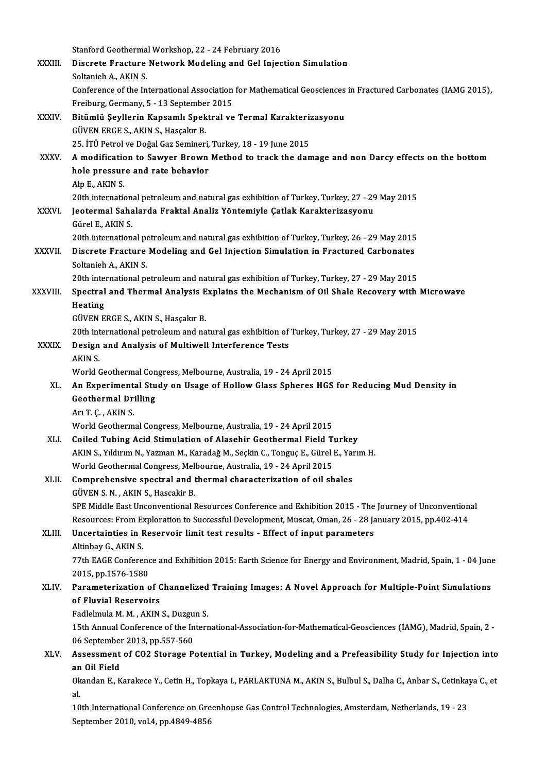|              | Stanford Geothermal Workshop, 22 - 24 February 2016                                                                                    |
|--------------|----------------------------------------------------------------------------------------------------------------------------------------|
| XXXIII.      | Discrete Fracture Network Modeling and Gel Injection Simulation                                                                        |
|              | Soltanieh A, AKIN S.                                                                                                                   |
|              | Conference of the International Association for Mathematical Geosciences in Fractured Carbonates (IAMG 2015),                          |
|              | Freiburg, Germany, 5 - 13 September 2015                                                                                               |
| XXXIV.       | Bitümlü Şeyllerin Kapsamlı Spektral ve Termal Karakterizasyonu                                                                         |
|              | GÜVEN ERGE S., AKIN S., Hasçakır B.                                                                                                    |
|              | 25. İTÜ Petrol ve Doğal Gaz Semineri, Turkey, 18 - 19 June 2015                                                                        |
| <b>XXXV</b>  | A modification to Sawyer Brown Method to track the damage and non Darcy effects on the bottom                                          |
|              | hole pressure and rate behavior                                                                                                        |
|              | Alp E, AKIN S                                                                                                                          |
|              | 20th international petroleum and natural gas exhibition of Turkey, Turkey, 27 - 29 May 2015                                            |
| <b>XXXVI</b> | Jeotermal Sahalarda Fraktal Analiz Yöntemiyle Çatlak Karakterizasyonu                                                                  |
|              | Gürel E, AKIN S                                                                                                                        |
|              | 20th international petroleum and natural gas exhibition of Turkey, Turkey, 26 - 29 May 2015                                            |
| XXXVII.      | Discrete Fracture Modeling and Gel Injection Simulation in Fractured Carbonates                                                        |
|              | Soltanieh A, AKIN S.                                                                                                                   |
|              | 20th international petroleum and natural gas exhibition of Turkey, Turkey, 27 - 29 May 2015                                            |
| XXXVIII.     | Spectral and Thermal Analysis Explains the Mechanism of Oil Shale Recovery with Microwave                                              |
|              | Heating                                                                                                                                |
|              | GÜVEN ERGE S., AKIN S., Hasçakır B.<br>20th international petroleum and natural gas exhibition of Turkey, Turkey, 27 - 29 May 2015     |
| <b>XXXIX</b> | Design and Analysis of Multiwell Interference Tests                                                                                    |
|              | AKIN S.                                                                                                                                |
|              | World Geothermal Congress, Melbourne, Australia, 19 - 24 April 2015                                                                    |
| XL.          | An Experimental Study on Usage of Hollow Glass Spheres HGS for Reducing Mud Density in                                                 |
|              | <b>Geothermal Drilling</b>                                                                                                             |
|              | Arı T Ç , AKIN S                                                                                                                       |
|              | World Geothermal Congress, Melbourne, Australia, 19 - 24 April 2015                                                                    |
| XLI.         | Coiled Tubing Acid Stimulation of Alasehir Geothermal Field Turkey                                                                     |
|              | AKIN S., Yıldırım N., Yazman M., Karadağ M., Seçkin C., Tonguç E., Gürel E., Yarım H.                                                  |
|              | World Geothermal Congress, Melbourne, Australia, 19 - 24 April 2015                                                                    |
| XLII.        | Comprehensive spectral and thermal characterization of oil shales                                                                      |
|              | GÜVEN S. N., AKIN S., Hascakir B.                                                                                                      |
|              | SPE Middle East Unconventional Resources Conference and Exhibition 2015 - The Journey of Unconventional                                |
|              | Resources: From Exploration to Successful Development, Muscat, Oman, 26 - 28 January 2015, pp.402-414                                  |
| XLIII.       | Uncertainties in Reservoir limit test results - Effect of input parameters                                                             |
|              | Altinbay G., AKIN S.                                                                                                                   |
|              | 77th EAGE Conference and Exhibition 2015: Earth Science for Energy and Environment, Madrid, Spain, 1 - 04 June                         |
|              | 2015, pp.1576-1580                                                                                                                     |
| XLIV.        | Parameterization of Channelized Training Images: A Novel Approach for Multiple-Point Simulations                                       |
|              | of Fluvial Reservoirs                                                                                                                  |
|              | Fadlelmula M. M., AKIN S., Duzgun S.                                                                                                   |
|              | 15th Annual Conference of the International-Association-for-Mathematical-Geosciences (IAMG), Madrid, Spain, 2 -                        |
|              | 06 September 2013, pp.557-560                                                                                                          |
| XLV.         | Assessment of CO2 Storage Potential in Turkey, Modeling and a Prefeasibility Study for Injection into                                  |
|              | an Oil Field<br>Okandan E., Karakece Y., Cetin H., Topkaya I., PARLAKTUNA M., AKIN S., Bulbul S., Dalha C., Anbar S., Cetinkaya C., et |
|              | al.                                                                                                                                    |
|              | 10th International Conference on Greenhouse Gas Control Technologies, Amsterdam, Netherlands, 19 - 23                                  |
|              | September 2010, vol.4, pp.4849-4856                                                                                                    |
|              |                                                                                                                                        |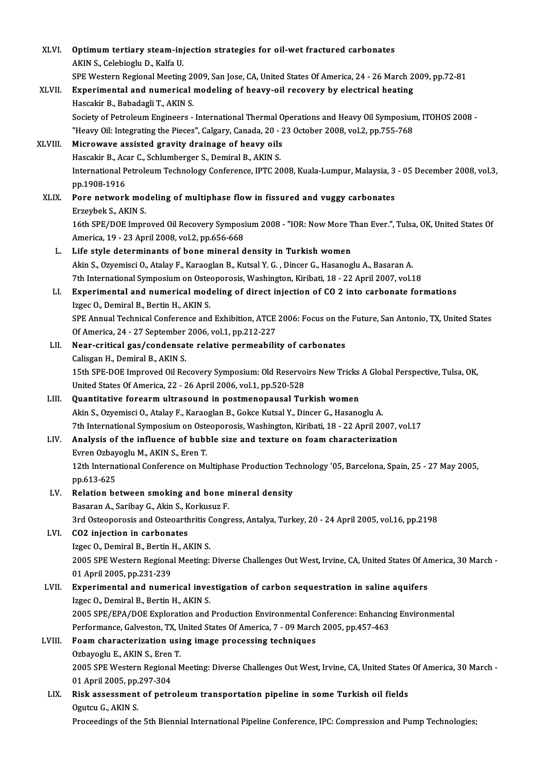| XLVI.        | Optimum tertiary steam-injection strategies for oil-wet fractured carbonates                                             |
|--------------|--------------------------------------------------------------------------------------------------------------------------|
|              | AKIN S., Celebioglu D., Kalfa U.                                                                                         |
|              | SPE Western Regional Meeting 2009, San Jose, CA, United States Of America, 24 - 26 March 2009, pp.72-81                  |
| <b>XLVII</b> | Experimental and numerical modeling of heavy-oil recovery by electrical heating                                          |
|              | Hascakir B, Babadagli T, AKIN S.                                                                                         |
|              | Society of Petroleum Engineers - International Thermal Operations and Heavy Oil Symposium, ITOHOS 2008 -                 |
|              | "Heavy Oil: Integrating the Pieces", Calgary, Canada, 20 - 23 October 2008, vol.2, pp.755-768                            |
| XLVIII.      | Microwave assisted gravity drainage of heavy oils                                                                        |
|              | Hascakir B., Acar C., Schlumberger S., Demiral B., AKIN S.                                                               |
|              | International Petroleum Technology Conference, IPTC 2008, Kuala-Lumpur, Malaysia, 3 - 05 December 2008, vol.3,           |
|              | pp 1908-1916                                                                                                             |
| XLIX.        | Pore network modeling of multiphase flow in fissured and vuggy carbonates                                                |
|              | Erzeybek S., AKIN S.                                                                                                     |
|              | 16th SPE/DOE Improved Oil Recovery Symposium 2008 - "IOR: Now More Than Ever.", Tulsa, OK, United States Of              |
|              | America, 19 - 23 April 2008, vol.2, pp.656-668                                                                           |
| L.           | Life style determinants of bone mineral density in Turkish women                                                         |
|              | Akin S., Ozyemisci O., Atalay F., Karaoglan B., Kutsal Y. G., Dincer G., Hasanoglu A., Basaran A.                        |
|              | 7th International Symposium on Osteoporosis, Washington, Kiribati, 18 - 22 April 2007, vol.18                            |
| LI.          | Experimental and numerical modeling of direct injection of CO 2 into carbonate formations                                |
|              | Izgec O., Demiral B., Bertin H., AKIN S.                                                                                 |
|              | SPE Annual Technical Conference and Exhibition, ATCE 2006: Focus on the Future, San Antonio, TX, United States           |
|              | Of America, 24 - 27 September 2006, vol.1, pp.212-227                                                                    |
| LII.         | Near-critical gas/condensate relative permeability of carbonates                                                         |
|              | Calisgan H., Demiral B., AKIN S.                                                                                         |
|              | 15th SPE-DOE Improved Oil Recovery Symposium: Old Reservoirs New Tricks A Global Perspective, Tulsa, OK,                 |
|              | United States Of America, 22 - 26 April 2006, vol.1, pp.520-528                                                          |
| LIII.        | Quantitative forearm ultrasound in postmenopausal Turkish women                                                          |
|              | Akin S., Ozyemisci O., Atalay F., Karaoglan B., Gokce Kutsal Y., Dincer G., Hasanoglu A.                                 |
|              | 7th International Symposium on Osteoporosis, Washington, Kiribati, 18 - 22 April 2007, vol.17                            |
| LIV.         | Analysis of the influence of bubble size and texture on foam characterization                                            |
|              | Evren Ozbayoglu M., AKIN S., Eren T.                                                                                     |
|              | 12th International Conference on Multiphase Production Technology '05, Barcelona, Spain, 25 - 27 May 2005,<br>pp 613-625 |
| LV.          | Relation between smoking and bone mineral density                                                                        |
|              | Basaran A., Saribay G., Akin S., Korkusuz F.                                                                             |
|              | 3rd Osteoporosis and Osteoarthritis Congress, Antalya, Turkey, 20 - 24 April 2005, vol.16, pp.2198                       |
| LVI.         | CO2 injection in carbonates                                                                                              |
|              | Izgec O., Demiral B., Bertin H., AKIN S.                                                                                 |
|              | 2005 SPE Western Regional Meeting: Diverse Challenges Out West, Irvine, CA, United States Of America, 30 March -         |
|              | 01 April 2005, pp 231-239                                                                                                |
| LVII.        | Experimental and numerical investigation of carbon sequestration in saline aquifers                                      |
|              | Izgec O., Demiral B., Bertin H., AKIN S.                                                                                 |
|              | 2005 SPE/EPA/DOE Exploration and Production Environmental Conference: Enhancing Environmental                            |
|              | Performance, Galveston, TX, United States Of America, 7 - 09 March 2005, pp 457-463                                      |
| LVIII.       | Foam characterization using image processing techniques                                                                  |
|              | Ozbayoglu E., AKIN S., Eren T.                                                                                           |
|              | 2005 SPE Western Regional Meeting: Diverse Challenges Out West, Irvine, CA, United States Of America, 30 March -         |
|              | 01 April 2005, pp 297-304                                                                                                |
| LIX.         | Risk assessment of petroleum transportation pipeline in some Turkish oil fields                                          |
|              | Ogutcu G., AKIN S.                                                                                                       |
|              | Proceedings of the 5th Biennial International Pipeline Conference, IPC: Compression and Pump Technologies;               |
|              |                                                                                                                          |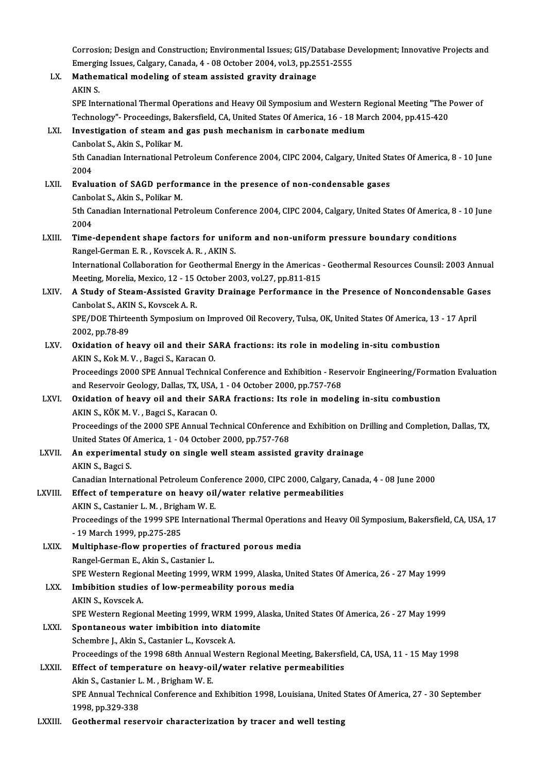Corrosion; Design and Construction; Environmental Issues; GIS/Database Development; Innovative Projects and Corrosion; Design and Construction; Environmental Issues; GIS/Database De<br>Emerging Issues, Calgary, Canada, 4 - 08 October 2004, vol.3, pp.2551-2555<br>Mathematical modeling of steam assisted gravity drainege Corrosion; Design and Construction; Environmental Issues; GIS/Da<br>Emerging Issues, Calgary, Canada, 4 - 08 October 2004, vol.3, pp.25<br>LX. Mathematical modeling of steam assisted gravity drainage<br>AKIN S

Emergii<br>Mather<br>AKIN S. Mathematical modeling of steam assisted gravity drainage<br>AKIN S.<br>SPE International Thermal Operations and Heavy Oil Symposium and Western Regional Meeting "The Power of<br>Technology", Proceedings Pekersfield, CA United State AKIN S.<br>SPE International Thermal Operations and Heavy Oil Symposium and Western Regional Meeting "The l<br>Technology"- Proceedings, Bakersfield, CA, United States Of America, 16 - 18 March 2004, pp.415-420<br>Investigation of SPE International Thermal Operations and Heavy Oil Symposium and Western R<br>Technology"- Proceedings, Bakersfield, CA, United States Of America, 16 - 18 Mai<br>LXI. Investigation of steam and gas push mechanism in carbonate me Technology"- Proceedings, Bal<br>Investigation of steam and<br>Canbolat S., Akin S., Polikar M.<br>Eth Canadian International Be

## Investigation of steam and gas push mechanism in carbonate medium<br>Canbolat S., Akin S., Polikar M.<br>5th Canadian International Petroleum Conference 2004, CIPC 2004, Calgary, United States Of America, 8 - 10 June<br>2004 Canbo<br>5th Ca<br>2004<br>Evalu

5th Canadian International Petroleum Conference 2004, CIPC 2004, Calgary, United State 2004<br>2004<br>LXII. Evaluation of SAGD performance in the presence of non-condensable gases<br>Canbelat S. Akin S. Politon M 2004<br><mark>Evaluation of SAGD perfor</mark><br>Canbolat S., Akin S., Polikar M.<br>Eth Canadian International Be Evaluation of SAGD performance in the presence of non-condensable gases<br>Canbolat S., Akin S., Polikar M.<br>5th Canadian International Petroleum Conference 2004, CIPC 2004, Calgary, United States Of America, 8 - 10 June<br>2004 Canbo<br>5th Ca<br>2004<br>Time

## 5th Canadian International Petroleum Conference 2004, CIPC 2004, Calgary, United States Of America, 8<br>2004<br>LXIII. Time-dependent shape factors for uniform and non-uniform pressure boundary conditions<br>Rangel Counon E.B., Ko 2004<br>Time-dependent shape factors for unife<br>Rangel-German E. R. , Kovscek A. R. , AKIN S.<br>International Callaberation for Ceathermal I Time-dependent shape factors for uniform and non-uniform pressure boundary conditions<br>Rangel-German E. R. , Kovscek A. R. , AKIN S.<br>International Collaboration for Geothermal Energy in the Americas - Geothermal Resources C

Rangel-German E. R. , Kovscek A. R. , AKIN S.<br>International Collaboration for Geothermal Energy in the Americas<br>Meeting, Morelia, Mexico, 12 - 15 October 2003, vol.27, pp.811-815<br>A Study of Steem, Assisted Crevity, Draineg International Collaboration for Geothermal Energy in the Americas - Geothermal Resources Counsil: 2003 Annual<br>Meeting, Morelia, Mexico, 12 - 15 October 2003, vol.27, pp.811-815<br>LXIV. A Study of Steam-Assisted Gravity Drain

## Meeting, Morelia, Mexico, 12 - 15 (<br>A Study of Steam-Assisted Gra<br>Canbolat S., AKIN S., Kovscek A. R.<br>SPE (DOE Thirtearth Sumpesium a A Study of Steam-Assisted Gravity Drainage Performance in the Presence of Noncondensable Ga<br>Canbolat S., AKIN S., Kovscek A. R.<br>SPE/DOE Thirteenth Symposium on Improved Oil Recovery, Tulsa, OK, United States Of America, 13

Canbolat S., AKIN S., Kovscek A. R.<br>SPE/DOE Thirteenth Symposium on Improved Oil Recovery, Tulsa, OK, United States Of America, 13 - 17 April<br>2002, pp.78-89 SPE/DOE Thirteenth Symposium on Improved Oil Recovery, Tulsa, OK, United States Of America, 13<br>2002, pp.78-89<br>LXV. Oxidation of heavy oil and their SARA fractions: its role in modeling in-situ combustion<br>AKIN S, Kek M, N.,

# 2002, pp.78-89<br>Oxidation of heavy oil and their SA<br>AKIN S., Kok M. V. , Bagci S., Karacan O.<br>Preseedings 2000 SPE Annual Technics

AKIN S., Kok M. V. , Bagci S., Karacan O.<br>Proceedings 2000 SPE Annual Technical Conference and Exhibition - Reservoir Engineering/Formation Evaluation AKIN S., Kok M. V. , Bagci S., Karacan O.<br>Proceedings 2000 SPE Annual Technical Conference and Exhibition - Rese<br>and Reservoir Geology, Dallas, TX, USA, 1 - 04 October 2000, pp.757-768<br>Quidation of beaux oil and their SARA

## LXVI. Oxidation of heavy oil and their SARA fractions: Its role in modeling in-situ combustion<br>AKIN S., KÖK M. V., Bagci S., Karacan O. and Reservoir Geology, Dallas, TX, USA,<br>Oxidation of heavy oil and their SA<br>AKIN S., KÖK M. V. , Bagci S., Karacan O.<br>Preseedings of the 2000 SPE Annual To Oxidation of heavy oil and their SARA fractions: Its role in modeling in-situ combustion<br>AKIN S., KÖK M. V. , Bagci S., Karacan O.<br>Proceedings of the 2000 SPE Annual Technical COnference and Exhibition on Drilling and Comp

AKIN S., KÖK M. V. , Bagci S., Karacan O.<br>Proceedings of the 2000 SPE Annual Technical COnference<br>United States Of America, 1 - 04 October 2000, pp.757-768<br>An experimental study on single well steam assisted Proceedings of the 2000 SPE Annual Technical COnference and Exhibition on D<br>United States Of America, 1 - 04 October 2000, pp.757-768<br>LXVII. An experimental study on single well steam assisted gravity drainage<br>AVIN S. Bagg

## United States Of America, 1 - 04 October 2000, pp.757-768<br>An experimental study on single well steam assisted gravity drainage<br>AKIN S., Bagci S. An experimental study on single well steam assisted gravity drainage<br>AKIN S., Bagci S.<br>Canadian International Petroleum Conference 2000, CIPC 2000, Calgary, Canada, 4 - 08 June 2000<br>Effect of temperature on beauw eil (wate

# AKIN S., Bagci S.<br>Canadian International Petroleum Conference 2000, CIPC 2000, Calgary, C<br>LXVIII. Effect of temperature on heavy oil/water relative permeabilities

Canadian International Petroleum Conf<br>Effect of temperature on heavy oil<br>AKIN S., Castanier L.M. , Brigham W.E. Effect of temperature on heavy oil/water relative permeabilities<br>AKIN S., Castanier L. M. , Brigham W. E.<br>Proceedings of the 1999 SPE International Thermal Operations and Heavy Oil Symposium, Bakersfield, CA, USA, 17<br>- 19 AKIN S., Castanier L. M., Brigham W. E. Proceedings of the 1999 SPE International Thermal Operations<br>- 19 March 1999, pp.275-285<br>LXIX. Multiphase-flow properties of fractured porous media<br>- Pangel Cerman E. Akin S. Cestanier J.

- 19 March 1999, pp.275-285<br>Multiphase-flow properties of frace<br>Rangel-German E., Akin S., Castanier L.<br>SPE Western Pegional Meeting 1999, V Rangel-German E., Akin S., Castanier L.<br>SPE Western Regional Meeting 1999, WRM 1999, Alaska, United States Of America, 26 - 27 May 1999 Rangel-German E., Akin S., Castanier L.<br>SPE Western Regional Meeting 1999, WRM 1999, Alaska, Uni<br>LXX. Imbibition studies of low-permeability porous media

## SPE Western Regior<br>I<mark>mbibition studie</mark><br>AKIN S., Kovscek A.<br>SPE Western Begior Imbibition studies of low-permeability porous media<br>AKIN S., Kovscek A.<br>SPE Western Regional Meeting 1999, WRM 1999, Alaska, United States Of America, 26 - 27 May 1999<br>Spontaneous water imbibition into diatemite

## AKIN S., Kovscek A.<br>SPE Western Regional Meeting 1999, WRM 1999, A<br>LXXI. Spontaneous water imbibition into diatomite<br>Schembre I., Akin S., Castanier L., Kovscek A. SPE Western Regional Meeting 1999, WRM 1<br>Spontaneous water imbibition into diat<br>Schembre J., Akin S., Castanier L., Kovscek A.<br>Proceedings of the 1998,69th Annual Weste Proceedings of the 1998 68th Annual Western Regional Meeting, Bakersfield, CA, USA, 11 - 15 May 1998

## LXXII. Effect of temperature on heavy-oil/water relative permeabilities Proceedings of the 1998 68th Annual<br>Effect of temperature on heavy-oi<br>Akin S., Castanier L. M. , Brigham W. E.<br>SPE Annual Technical Conference and SPE Annual Technical Conference and Exhibition 1998, Louisiana, United States Of America, 27 - 30 September<br>1998, pp.329-338 Akin S., Castanier L<br>SPE Annual Techni<br>1998, pp.329-338<br>Costhormal rese

## LXXIII. Geothermal reservoir characterization by tracer and well testing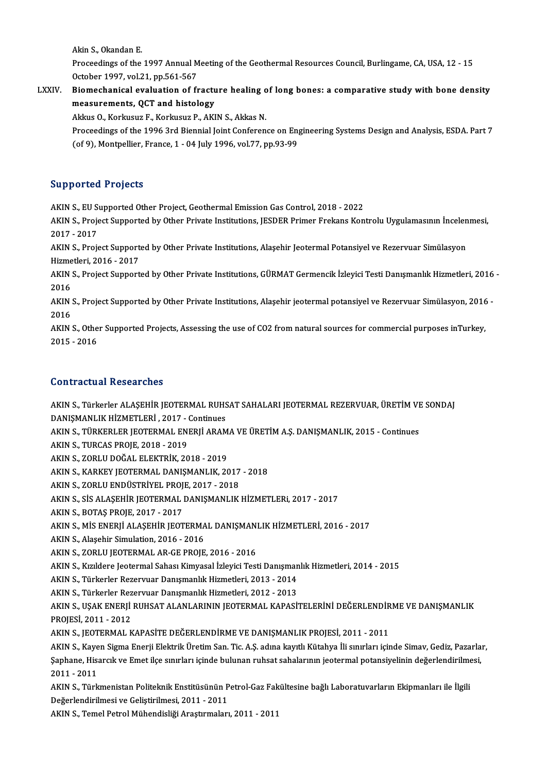Akin S., Okandan E.

Akin S., Okandan E.<br>Proceedings of the 1997 Annual Meeting of the Geothermal Resources Council, Burlingame, CA, USA, 12 - 15<br>Osteber 1997, vel 31, pp 561, 567 Akin S., Okandan E.<br>Proceedings of the 1997 Annual M<br>October 1997, vol.21, pp.561-567<br>Biomashanisal evaluation of fr Proceedings of the 1997 Annual Meeting of the Geothermal Resources Council, Burlingame, CA, USA, 12 - 15<br>October 1997, vol.21, pp.561-567<br>LXXIV. Biomechanical evaluation of fracture healing of long bones: a comparative stu

## October 1997, vol.21, pp.561-567<br>Biomechanical evaluation of fractu<br>measurements, QCT and histology<br>Akkus O. Korkusuz E. Korkusuz P. AKI Biomechanical evaluation of fracture healing of<br>measurements, QCT and histology<br>Akkus O., Korkusuz F., Korkusuz P., AKIN S., Akkas N.<br>Preseedings of the 1996 2rd Piennial Joint Conferen

measurements, QCT and histology<br>Akkus O., Korkusuz F., Korkusuz P., AKIN S., Akkas N.<br>Proceedings of the 1996 3rd Biennial Joint Conference on Engineering Systems Design and Analysis, ESDA. Part 7<br>(of 9), Montpellier, Eran Akkus O., Korkusuz F., Korkusuz P., AKIN S., Akkas N.<br>Proceedings of the 1996 3rd Biennial Joint Conference on En<sub>i</sub><br>(of 9), Montpellier, France, 1 - 04 July 1996, vol.77, pp.93-99 (of 9), Montpellier, France, 1 - 04 July 1996, vol.77, pp.93-99<br>Supported Projects

AKINS.,EUSupportedOther Project,GeothermalEmissionGasControl,2018 -2022

Bupportect Trojects<br>AKIN S., EU Supported Other Project, Geothermal Emission Gas Control, 2018 - 2022<br>AKIN S., Project Supported by Other Private Institutions, JESDER Primer Frekans Kontrolu Uygulamasının İncelenmesi, AKIN S., EU S<br>AKIN S., Proje<br>2017 - 2017<br>AKIN S., Proje AKIN S., Project Supported by Other Private Institutions, JESDER Primer Frekans Kontrolu Uygulamasının İncelen<br>2017 - 2017<br>AKIN S., Project Supported by Other Private Institutions, Alaşehir Jeotermal Potansiyel ve Rezervua

2017 - 2017<br>AKIN S., Project Supported by Other Private Institutions, Alaşehir Jeotermal Potansiyel ve Rezervuar Simülasyon<br>Hizmetleri, 2016 - 2017 AKIN S., Project Supported by Other Private Institutions, Alaşehir Jeotermal Potansiyel ve Rezervuar Simülasyon<br>Hizmetleri, 2016 - 2017<br>AKIN S., Project Supported by Other Private Institutions, GÜRMAT Germencik İzleyici Te

Hizme<br>AKIN<br>2016<br>AKIN AKIN S., Project Supported by Other Private Institutions, GÜRMAT Germencik İzleyici Testi Danışmanlık Hizmetleri, 2016<br>2016<br>AKIN S., Project Supported by Other Private Institutions, Alaşehir jeotermal potansiyel ve Rezervu

2016<br>AKIN<br>2016<br>AKIN AKIN S., Project Supported by Other Private Institutions, Alaşehir jeotermal potansiyel ve Rezervuar Simülasyon, 2016<br>2016<br>AKIN S., Other Supported Projects, Assessing the use of CO2 from natural sources for commercial pur

2016<br>AKIN S., Other Supported Projects, Assessing the use of CO2 from natural sources for commercial purposes inTurkey,<br>2015 - 2016

### Contractual Researches

Contractual Researches<br>AKIN S., Türkerler ALAŞEHİR JEOTERMAL RUHSAT SAHALARI JEOTERMAL REZERVUAR, ÜRETİM VE SONDAJ<br>RANISMANLIK HİZMETI ERİ. 2017, Continues DOMET ACCATT ACCORT CHOC<br>AKIN S., Türkerler ALAŞEHİR JEOTERMAL RUHS<br>DANIŞMANLIK HİZMETLERİ , 2017 - Continues<br>AKIN S. TÜRKERLER JEOTERMAL ENERLİ ARAM AKIN S., Türkerler ALAŞEHİR JEOTERMAL RUHSAT SAHALARI JEOTERMAL REZERVUAR, ÜRETİM VI<br>DANIŞMANLIK HİZMETLERİ , 2017 - Continues<br>AKIN S., TÜRKERLER JEOTERMAL ENERJİ ARAMA VE ÜRETİM A.Ş. DANIŞMANLIK, 2015 - Continues<br>AKIN S.,

DANIŞMANLIK HİZMETLERİ , 2017 - Continues<br>AKIN S., TÜRKERLER JEOTERMAL ENERJİ ARAM<br>AKIN S., TURCAS PROJE, 2018 - 2019<br>AKIN S., ZORLU DOĞAL ELEKTRİK, 2018 - 2019 AKIN S., TÜRKERLER JEOTERMAL ENERJİ ARAMA VE ÜRETİM A.Ş. DANIŞMANLIK, 2015 - Continues

AKIN S., TURCAS PROJE, 2018 - 2019<br>AKIN S., ZORLU DOĞAL ELEKTRİK, 2018 - 2019<br>AKIN S., KARKEY JEOTERMAL DANIŞMANLIK, 2017 - 2018<br>AKIN S. ZORLU ENDÜSTRİYEL PROJE, 2017 - 2019 AKIN S., ZORLU DOĞAL ELEKTRİK, 2018 - 2019<br>AKIN S., KARKEY JEOTERMAL DANIŞMANLIK, 2017<br>AKIN S., ZORLU ENDÜSTRİYEL PROJE, 2017 - 2018<br>AKIN S. SİS ALASEHİR JEOTERMAL DANISMANLIK

AKIN S., ZORLU ENDÜSTRİYEL PROJE, 2017 - 2018

AKIN S., SİS ALAŞEHİR JEOTERMAL DANIŞMANLIK HİZMETLERI, 2017 - 2017<br>AKIN S., BOTAŞ PROJE, 2017 - 2017

AKIN S., SİS ALAŞEHİR JEOTERMAL DANIŞMANLIK HİZMETLERI, 2017 - 2017<br>AKIN S., BOTAŞ PROJE, 2017 - 2017<br>AKIN S., MİS ENERJİ ALAŞEHİR JEOTERMAL DANIŞMANLIK HİZMETLERİ, 2016 - 2017<br>AKIN S. Alaşehir Simulation 2016 - 2016 AKIN S., BOTAŞ PROJE, 2017 - 2017<br>AKIN S., MİS ENERJİ ALAŞEHİR JEOTERMA<br>AKIN S., Alaşehir Simulation, 2016 - 2016<br>AKIN S., ZOPLU IEOTERMAL AR CE PROJE AKIN S., MİS ENERJİ ALAŞEHİR JEOTERMAL DANIŞMANI<br>AKIN S., Alaşehir Simulation, 2016 - 2016<br>AKIN S., ZORLU JEOTERMAL AR-GE PROJE, 2016 - 2016<br>AKIN S., Kurldara Jeotermal Sabası Kimuacal İzlan'dı Test

AKIN S., Alaşehir Simulation, 2016 - 2016<br>AKIN S., ZORLU JEOTERMAL AR-GE PROJE, 2016 - 2016<br>AKIN S., Kızıldere Jeotermal Sahası Kimyasal İzleyici Testi Danışmanlık Hizmetleri, 2014 - 2015<br>AKIN S., Kızıldere Perseyyuar Danı AKIN S., ZORLU JEOTERMAL AR-GE PROJE, 2016 - 2016<br>AKIN S., Kızıldere Jeotermal Sahası Kimyasal İzleyici Testi Danışman<br>AKIN S., Türkerler Rezervuar Danışmanlık Hizmetleri, 2013 - 2014<br>AKIN S., Türkerler Bezervuar Danışmanl AKIN S., Kızıldere Jeotermal Sahası Kimyasal İzleyici Testi Danışman<br>AKIN S., Türkerler Rezervuar Danışmanlık Hizmetleri, 2013 - 2014<br>AKIN S., Türkerler Rezervuar Danışmanlık Hizmetleri, 2012 - 2013<br>AKIN S., USAK ENERLİ BU

AKIN S., Türkerler Rezervuar Danışmanlık Hizmetleri, 2013 - 2014<br>AKIN S., Türkerler Rezervuar Danışmanlık Hizmetleri, 2012 - 2013<br>AKIN S., UŞAK ENERJİ RUHSAT ALANLARININ JEOTERMAL KAPASİTELERİNİ DEĞERLENDİRME VE DANIŞMANLI AKIN S., Türkerler Rez<br>AKIN S., UŞAK ENERJİ<br>PROJESİ, 2011 - 2012<br>AKIN S. IEOTERMAL K AKIN S., UŞAK ENERJİ RUHSAT ALANLARININ JEOTERMAL KAPASİTELERİNİ DEĞERLENDİR<br>PROJESİ, 2011 - 2012<br>AKIN S., JEOTERMAL KAPASİTE DEĞERLENDİRME VE DANIŞMANLIK PROJESİ, 2011 - 2011<br>AKIN S., Kavon Sigma Enerji Elektrik Ünetim Sa

PROJESİ, 2011 - 2012<br>AKIN S., JEOTERMAL KAPASİTE DEĞERLENDİRME VE DANIŞMANLIK PROJESİ, 2011 - 2011<br>AKIN S., Kayen Sigma Enerji Elektrik Üretim San. Tic. A.Ş. adına kayıtlı Kütahya İli sınırları içinde Simav, Gediz, Pazarla AKIN S., JEOTERMAL KAPASİTE DEĞERLENDİRME VE DANIŞMANLIK PROJESİ, 2011 - 2011<br>AKIN S., Kayen Sigma Enerji Elektrik Üretim San. Tic. A.Ş. adına kayıtlı Kütahya İli sınırları içinde Simav, Gediz, Pazarla<br>Şaphane, Hisarcık ve AKIN S., Kaye<br>Şaphane, Hisa<br>2011 - 2011<br>AKIN S. Türk Şaphane, Hisarcık ve Emet ilçe sınırları içinde bulunan ruhsat sahalarının jeotermal potansiyelinin değerlendirilmesi,<br>2011 - 2011<br>AKIN S., Türkmenistan Politeknik Enstitüsünün Petrol-Gaz Fakültesine bağlı Laboratuvarların

2011 - 2011<br>AKIN S., Türkmenistan Politeknik Enstitüsünün P<br>Değerlendirilmesi ve Geliştirilmesi, 2011 - 2011<br>AKIN S. Tamel Petrel Mühandisliği Arastırmaları AKIN S., Türkmenistan Politeknik Enstitüsünün Petrol-Gaz Fak<br>Değerlendirilmesi ve Geliştirilmesi, 2011 - 2011<br>AKIN S., Temel Petrol Mühendisliği Araştırmaları, 2011 - 2011